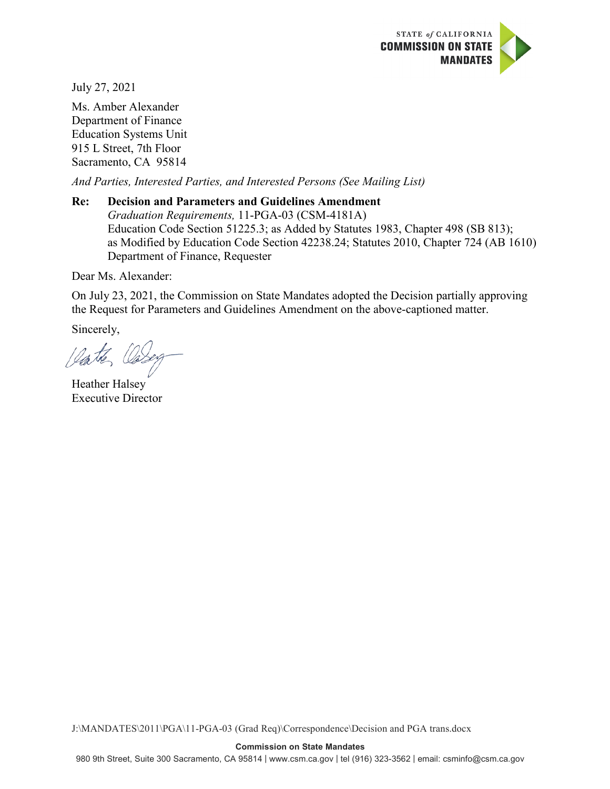

July 27, 2021

Ms. Amber Alexander Department of Finance Education Systems Unit 915 L Street, 7th Floor Sacramento, CA 95814

*And Parties, Interested Parties, and Interested Persons (See Mailing List)*

### **Re: Decision and Parameters and Guidelines Amendment** *Graduation Requirements,* 11-PGA-03 (CSM-4181A) Education Code Section 51225.3; as Added by Statutes 1983, Chapter 498 (SB 813); as Modified by Education Code Section 42238.24; Statutes 2010, Chapter 724 (AB 1610) Department of Finance, Requester

Dear Ms. Alexander:

On July 23, 2021, the Commission on State Mandates adopted the Decision partially approving the Request for Parameters and Guidelines Amendment on the above-captioned matter.

Sincerely,

Vate Os.

Heather Halsey Executive Director

J:\MANDATES\2011\PGA\11-PGA-03 (Grad Req)\Correspondence\Decision and PGA trans.docx

#### **Commission on State Mandates**

980 9th Street, Suite 300 Sacramento, CA 95814 | www.csm.ca.gov | tel (916) 323-3562 | email: csminfo@csm.ca.gov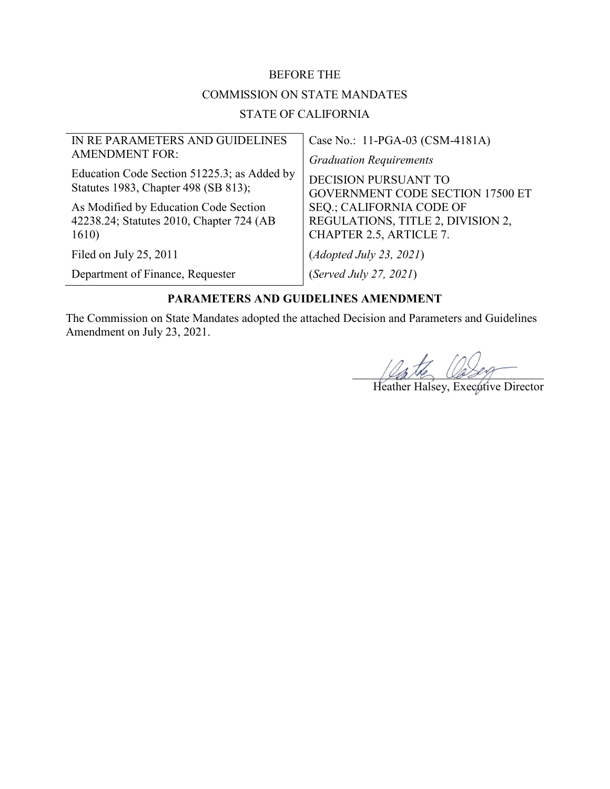#### BEFORE THE

### COMMISSION ON STATE MANDATES

### STATE OF CALIFORNIA

| IN RE PARAMETERS AND GUIDELINES             | Case No.: 11-PGA-03 (CSM-4181A)         |
|---------------------------------------------|-----------------------------------------|
| <b>AMENDMENT FOR:</b>                       | <b>Graduation Requirements</b>          |
| Education Code Section 51225.3; as Added by | <b>DECISION PURSUANT TO</b>             |
| Statutes 1983, Chapter 498 (SB 813);        | <b>GOVERNMENT CODE SECTION 17500 ET</b> |
| As Modified by Education Code Section       | SEQ.; CALIFORNIA CODE OF                |
| 42238.24; Statutes 2010, Chapter 724 (AB    | REGULATIONS, TITLE 2, DIVISION 2,       |
| 1610)                                       | CHAPTER 2.5, ARTICLE 7.                 |
| Filed on July 25, 2011                      | (Adopted July 23, 2021)                 |
| Department of Finance, Requester            | (Served July 27, 2021)                  |

### **PARAMETERS AND GUIDELINES AMENDMENT**

The Commission on State Mandates adopted the attached Decision and Parameters and Guidelines Amendment on July 23, 2021.

 $\mu_{\alpha}$ the  $\omega_{\beta}$ 

Heather Halsey, Executive Director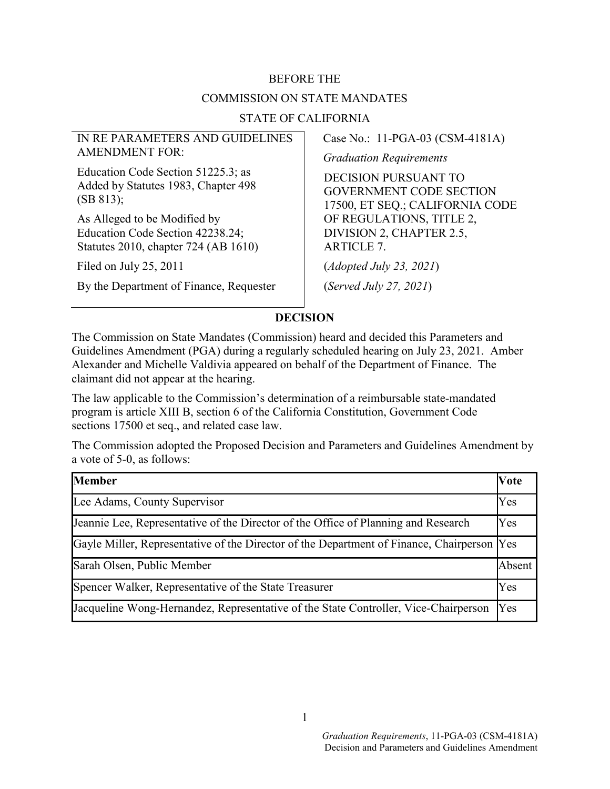# BEFORE THE COMMISSION ON STATE MANDATES

### STATE OF CALIFORNIA

### IN RE PARAMETERS AND GUIDELINES AMENDMENT FOR:

Education Code Section 51225.3; as Added by Statutes 1983, Chapter 498 (SB 813);

As Alleged to be Modified by Education Code Section 42238.24; Statutes 2010, chapter 724 (AB 1610)

Filed on July 25, 2011

By the Department of Finance, Requester

Case No.: 11-PGA-03 (CSM-4181A)

*Graduation Requirements*

DECISION PURSUANT TO GOVERNMENT CODE SECTION 17500, ET SEQ.; CALIFORNIA CODE OF REGULATIONS, TITLE 2, DIVISION 2, CHAPTER 2.5, ARTICLE 7.

(*Adopted July 23, 2021*)

(*Served July 27, 2021*)

### **DECISION**

The Commission on State Mandates (Commission) heard and decided this Parameters and Guidelines Amendment (PGA) during a regularly scheduled hearing on July 23, 2021. Amber Alexander and Michelle Valdivia appeared on behalf of the Department of Finance. The claimant did not appear at the hearing.

The law applicable to the Commission's determination of a reimbursable state-mandated program is article XIII B, section 6 of the California Constitution, Government Code sections 17500 et seq., and related case law.

The Commission adopted the Proposed Decision and Parameters and Guidelines Amendment by a vote of 5-0, as follows:

| <b>Member</b>                                                                          | <b>Vote</b> |
|----------------------------------------------------------------------------------------|-------------|
| Lee Adams, County Supervisor                                                           | Yes         |
| Jeannie Lee, Representative of the Director of the Office of Planning and Research     | Yes         |
| Gayle Miller, Representative of the Director of the Department of Finance, Chairperson | Yes         |
| Sarah Olsen, Public Member                                                             | Absent      |
| Spencer Walker, Representative of the State Treasurer                                  | Yes         |
| Jacqueline Wong-Hernandez, Representative of the State Controller, Vice-Chairperson    | Yes         |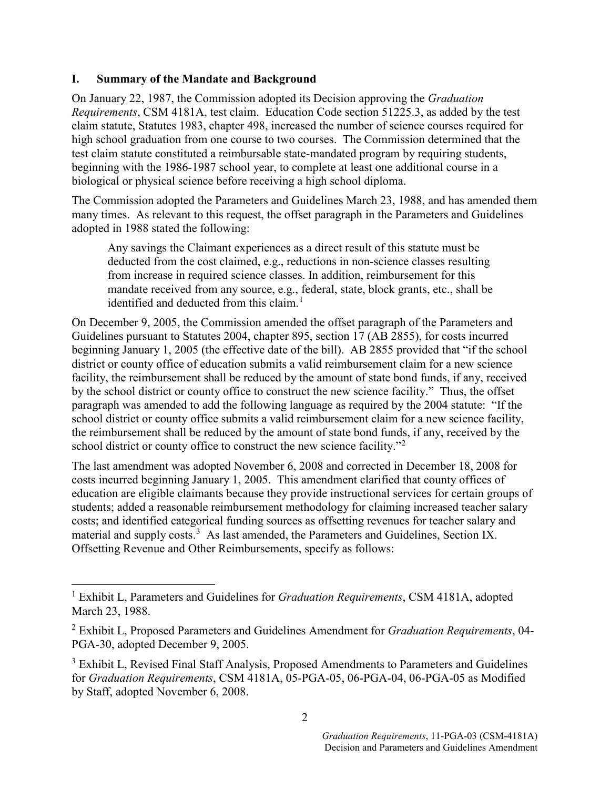### **I. Summary of the Mandate and Background**

On January 22, 1987, the Commission adopted its Decision approving the *Graduation Requirements*, CSM 4181A, test claim. Education Code section 51225.3, as added by the test claim statute, Statutes 1983, chapter 498, increased the number of science courses required for high school graduation from one course to two courses. The Commission determined that the test claim statute constituted a reimbursable state-mandated program by requiring students, beginning with the 1986-1987 school year, to complete at least one additional course in a biological or physical science before receiving a high school diploma.

The Commission adopted the Parameters and Guidelines March 23, 1988, and has amended them many times. As relevant to this request, the offset paragraph in the Parameters and Guidelines adopted in 1988 stated the following:

Any savings the Claimant experiences as a direct result of this statute must be deducted from the cost claimed, e.g., reductions in non-science classes resulting from increase in required science classes. In addition, reimbursement for this mandate received from any source, e.g., federal, state, block grants, etc., shall be identified and deducted from this claim.<sup>[1](#page-3-0)</sup>

On December 9, 2005, the Commission amended the offset paragraph of the Parameters and Guidelines pursuant to Statutes 2004, chapter 895, section 17 (AB 2855), for costs incurred beginning January 1, 2005 (the effective date of the bill). AB 2855 provided that "if the school district or county office of education submits a valid reimbursement claim for a new science facility, the reimbursement shall be reduced by the amount of state bond funds, if any, received by the school district or county office to construct the new science facility." Thus, the offset paragraph was amended to add the following language as required by the 2004 statute: "If the school district or county office submits a valid reimbursement claim for a new science facility, the reimbursement shall be reduced by the amount of state bond funds, if any, received by the school district or county office to construct the new science facility."<sup>[2](#page-3-1)</sup>

The last amendment was adopted November 6, 2008 and corrected in December 18, 2008 for costs incurred beginning January 1, 2005. This amendment clarified that county offices of education are eligible claimants because they provide instructional services for certain groups of students; added a reasonable reimbursement methodology for claiming increased teacher salary costs; and identified categorical funding sources as offsetting revenues for teacher salary and material and supply costs.<sup>[3](#page-3-2)</sup> As last amended, the Parameters and Guidelines, Section IX. Offsetting Revenue and Other Reimbursements, specify as follows:

<span id="page-3-0"></span> <sup>1</sup> Exhibit L, Parameters and Guidelines for *Graduation Requirements*, CSM 4181A, adopted March 23, 1988.

<span id="page-3-1"></span><sup>2</sup> Exhibit L, Proposed Parameters and Guidelines Amendment for *Graduation Requirements*, 04- PGA-30, adopted December 9, 2005.

<span id="page-3-2"></span><sup>&</sup>lt;sup>3</sup> Exhibit L, Revised Final Staff Analysis, Proposed Amendments to Parameters and Guidelines for *Graduation Requirements*, CSM 4181A, 05-PGA-05, 06-PGA-04, 06-PGA-05 as Modified by Staff, adopted November 6, 2008.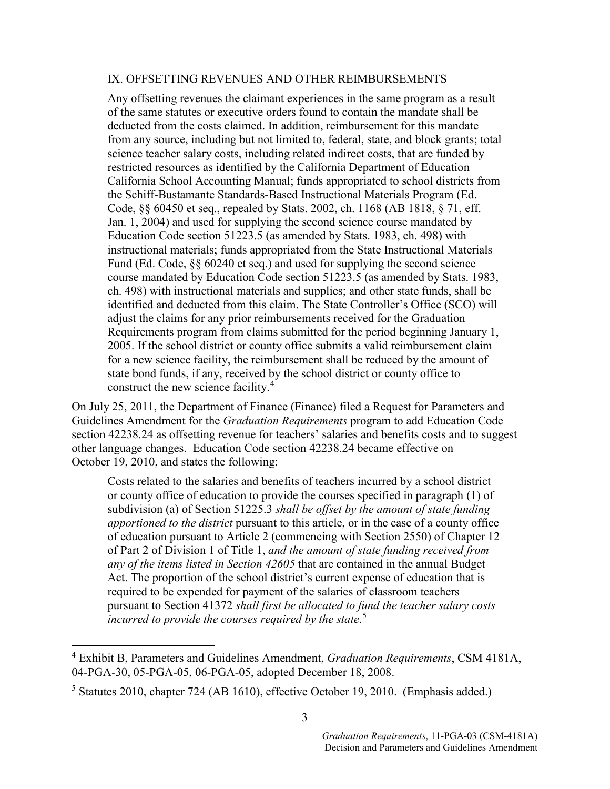#### IX. OFFSETTING REVENUES AND OTHER REIMBURSEMENTS

Any offsetting revenues the claimant experiences in the same program as a result of the same statutes or executive orders found to contain the mandate shall be deducted from the costs claimed. In addition, reimbursement for this mandate from any source, including but not limited to, federal, state, and block grants; total science teacher salary costs, including related indirect costs, that are funded by restricted resources as identified by the California Department of Education California School Accounting Manual; funds appropriated to school districts from the Schiff-Bustamante Standards-Based Instructional Materials Program (Ed. Code, §§ 60450 et seq., repealed by Stats. 2002, ch. 1168 (AB 1818, § 71, eff. Jan. 1, 2004) and used for supplying the second science course mandated by Education Code section 51223.5 (as amended by Stats. 1983, ch. 498) with instructional materials; funds appropriated from the State Instructional Materials Fund (Ed. Code, §§ 60240 et seq.) and used for supplying the second science course mandated by Education Code section 51223.5 (as amended by Stats. 1983, ch. 498) with instructional materials and supplies; and other state funds, shall be identified and deducted from this claim. The State Controller's Office (SCO) will adjust the claims for any prior reimbursements received for the Graduation Requirements program from claims submitted for the period beginning January 1, 2005. If the school district or county office submits a valid reimbursement claim for a new science facility, the reimbursement shall be reduced by the amount of state bond funds, if any, received by the school district or county office to construct the new science facility.<sup>[4](#page-4-0)</sup>

On July 25, 2011, the Department of Finance (Finance) filed a Request for Parameters and Guidelines Amendment for the *Graduation Requirements* program to add Education Code section 42238.24 as offsetting revenue for teachers' salaries and benefits costs and to suggest other language changes. Education Code section 42238.24 became effective on October 19, 2010, and states the following:

Costs related to the salaries and benefits of teachers incurred by a school district or county office of education to provide the courses specified in paragraph (1) of subdivision (a) of Section 51225.3 *shall be offset by the amount of state funding apportioned to the district* pursuant to this article, or in the case of a county office of education pursuant to Article 2 (commencing with Section 2550) of Chapter 12 of Part 2 of Division 1 of Title 1, *and the amount of state funding received from any of the items listed in Section 42605* that are contained in the annual Budget Act. The proportion of the school district's current expense of education that is required to be expended for payment of the salaries of classroom teachers pursuant to Section 41372 *shall first be allocated to fund the teacher salary costs incurred to provide the courses required by the state*. [5](#page-4-1)

<span id="page-4-0"></span> <sup>4</sup> Exhibit B, Parameters and Guidelines Amendment, *Graduation Requirements*, CSM 4181A, 04-PGA-30, 05-PGA-05, 06-PGA-05, adopted December 18, 2008.

<span id="page-4-1"></span><sup>5</sup> Statutes 2010, chapter 724 (AB 1610), effective October 19, 2010. (Emphasis added.)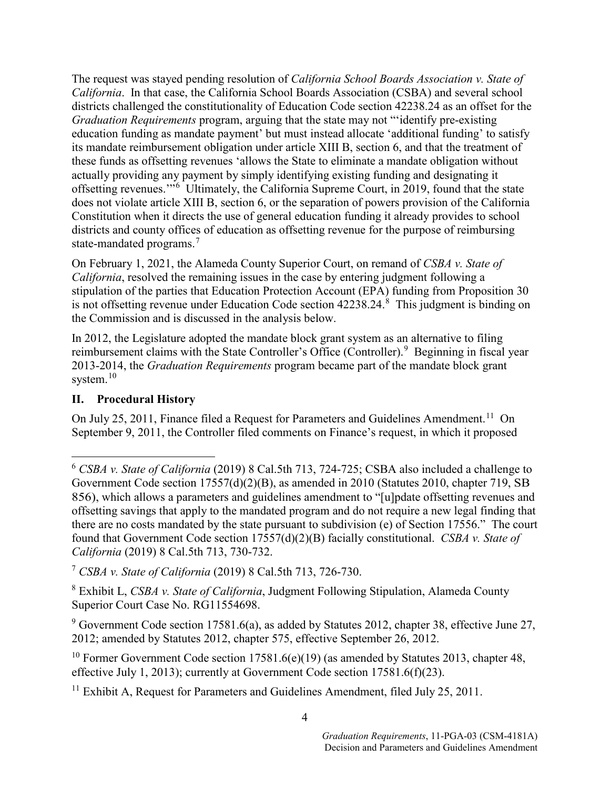The request was stayed pending resolution of *California School Boards Association v. State of California*. In that case, the California School Boards Association (CSBA) and several school districts challenged the constitutionality of Education Code section 42238.24 as an offset for the *Graduation Requirements* program, arguing that the state may not "'identify pre-existing education funding as mandate payment' but must instead allocate 'additional funding' to satisfy its mandate reimbursement obligation under article XIII B, section 6, and that the treatment of these funds as offsetting revenues 'allows the State to eliminate a mandate obligation without actually providing any payment by simply identifying existing funding and designating it offsetting revenues.'"[6](#page-5-0) Ultimately, the California Supreme Court, in 2019, found that the state does not violate article XIII B, section 6, or the separation of powers provision of the California Constitution when it directs the use of general education funding it already provides to school districts and county offices of education as offsetting revenue for the purpose of reimbursing state-mandated programs. [7](#page-5-1)

On February 1, 2021, the Alameda County Superior Court, on remand of *CSBA v. State of California*, resolved the remaining issues in the case by entering judgment following a stipulation of the parties that Education Protection Account (EPA) funding from Proposition 30 is not offsetting revenue under Education Code section 4223[8](#page-5-2).24.<sup>8</sup> This judgment is binding on the Commission and is discussed in the analysis below.

In 2012, the Legislature adopted the mandate block grant system as an alternative to filing reimbursement claims with the State Controller's Office (Controller).<sup>[9](#page-5-3)</sup> Beginning in fiscal year 2013-2014, the *Graduation Requirements* program became part of the mandate block grant system.<sup>[10](#page-5-4)</sup>

### **II. Procedural History**

On July 25, 20[11](#page-5-5), Finance filed a Request for Parameters and Guidelines Amendment.<sup>11</sup> On September 9, 2011, the Controller filed comments on Finance's request, in which it proposed

<span id="page-5-0"></span> <sup>6</sup> *CSBA v. State of California* (2019) 8 Cal.5th 713, 724-725; CSBA also included a challenge to Government Code section 17557(d)(2)(B), as amended in 2010 (Statutes 2010, chapter 719, SB 856), which allows a parameters and guidelines amendment to "[u]pdate offsetting revenues and offsetting savings that apply to the mandated program and do not require a new legal finding that there are no costs mandated by the state pursuant to subdivision (e) of Section 17556." The court found that Government Code section 17557(d)(2)(B) facially constitutional. *CSBA v. State of California* (2019) 8 Cal.5th 713, 730-732.

<span id="page-5-1"></span><sup>7</sup> *CSBA v. State of California* (2019) 8 Cal.5th 713, 726-730.

<span id="page-5-2"></span><sup>8</sup> Exhibit L, *CSBA v. State of California*, Judgment Following Stipulation, Alameda County Superior Court Case No. RG11554698.

<span id="page-5-3"></span><sup>9</sup> Government Code section 17581.6(a), as added by Statutes 2012, chapter 38, effective June 27, 2012; amended by Statutes 2012, chapter 575, effective September 26, 2012.

<span id="page-5-4"></span><sup>&</sup>lt;sup>10</sup> Former Government Code section 17581.6(e)(19) (as amended by Statutes 2013, chapter 48, effective July 1, 2013); currently at Government Code section 17581.6(f)(23).

<span id="page-5-5"></span><sup>&</sup>lt;sup>11</sup> Exhibit A, Request for Parameters and Guidelines Amendment, filed July 25, 2011.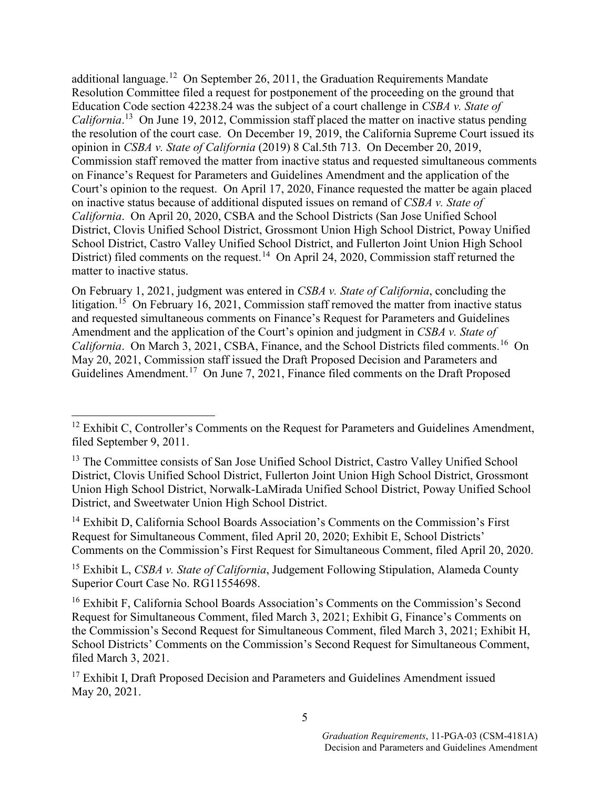additional language.<sup>12</sup> On September 26, 2011, the Graduation Requirements Mandate Resolution Committee filed a request for postponement of the proceeding on the ground that Education Code section 42238.24 was the subject of a court challenge in *CSBA v. State of*  California.<sup>[13](#page-6-1)</sup> On June 19, 2012, Commission staff placed the matter on inactive status pending the resolution of the court case. On December 19, 2019, the California Supreme Court issued its opinion in *CSBA v. State of California* (2019) 8 Cal.5th 713. On December 20, 2019, Commission staff removed the matter from inactive status and requested simultaneous comments on Finance's Request for Parameters and Guidelines Amendment and the application of the Court's opinion to the request. On April 17, 2020, Finance requested the matter be again placed on inactive status because of additional disputed issues on remand of *CSBA v. State of California*. On April 20, 2020, CSBA and the School Districts (San Jose Unified School District, Clovis Unified School District, Grossmont Union High School District, Poway Unified School District, Castro Valley Unified School District, and Fullerton Joint Union High School District) filed comments on the request.<sup>[14](#page-6-2)</sup> On April 24, 2020, Commission staff returned the matter to inactive status.

On February 1, 2021, judgment was entered in *CSBA v. State of California*, concluding the litigation.<sup>15</sup> On February 16, 2021, Commission staff removed the matter from inactive status and requested simultaneous comments on Finance's Request for Parameters and Guidelines Amendment and the application of the Court's opinion and judgment in *CSBA v. State of*  California. On March 3, 2021, CSBA, Finance, and the School Districts filed comments.<sup>[16](#page-6-4)</sup> On May 20, 2021, Commission staff issued the Draft Proposed Decision and Parameters and Guidelines Amendment.<sup>[17](#page-6-5)</sup> On June 7, 2021, Finance filed comments on the Draft Proposed

<span id="page-6-2"></span><sup>14</sup> Exhibit D, California School Boards Association's Comments on the Commission's First Request for Simultaneous Comment, filed April 20, 2020; Exhibit E, School Districts' Comments on the Commission's First Request for Simultaneous Comment, filed April 20, 2020.

<span id="page-6-3"></span><sup>15</sup> Exhibit L, *CSBA v. State of California*, Judgement Following Stipulation, Alameda County Superior Court Case No. RG11554698.

<span id="page-6-4"></span><sup>16</sup> Exhibit F, California School Boards Association's Comments on the Commission's Second Request for Simultaneous Comment, filed March 3, 2021; Exhibit G, Finance's Comments on the Commission's Second Request for Simultaneous Comment, filed March 3, 2021; Exhibit H, School Districts' Comments on the Commission's Second Request for Simultaneous Comment, filed March 3, 2021.

<span id="page-6-0"></span><sup>&</sup>lt;sup>12</sup> Exhibit C, Controller's Comments on the Request for Parameters and Guidelines Amendment, filed September 9, 2011.

<span id="page-6-1"></span><sup>&</sup>lt;sup>13</sup> The Committee consists of San Jose Unified School District, Castro Valley Unified School District, Clovis Unified School District, Fullerton Joint Union High School District, Grossmont Union High School District, Norwalk-LaMirada Unified School District, Poway Unified School District, and Sweetwater Union High School District.

<span id="page-6-5"></span><sup>&</sup>lt;sup>17</sup> Exhibit I, Draft Proposed Decision and Parameters and Guidelines Amendment issued May 20, 2021.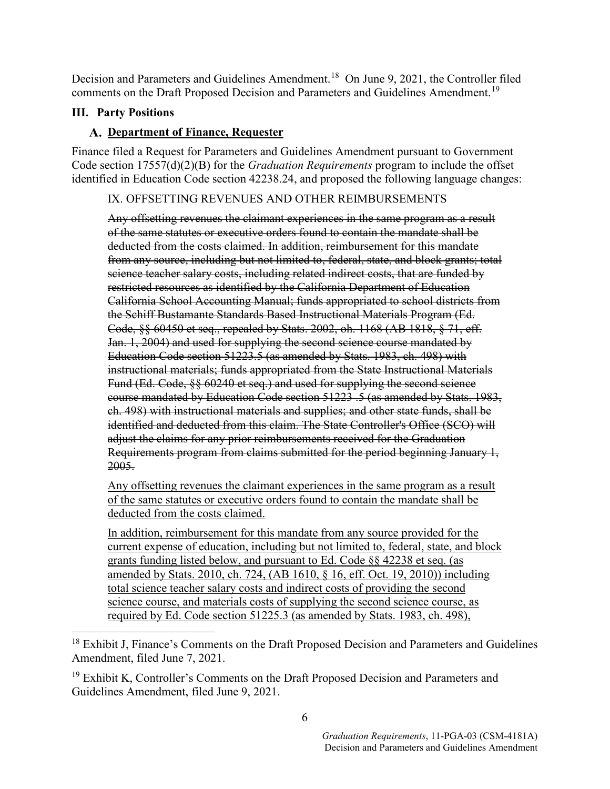Decision and Parameters and Guidelines Amendment.<sup>18</sup> On June 9, 2021, the Controller filed comments on the Draft Proposed Decision and Parameters and Guidelines Amendment.<sup>[19](#page-7-1)</sup>

### **III. Party Positions**

### **Department of Finance, Requester**

Finance filed a Request for Parameters and Guidelines Amendment pursuant to Government Code section 17557(d)(2)(B) for the *Graduation Requirements* program to include the offset identified in Education Code section 42238.24, and proposed the following language changes:

### IX. OFFSETTING REVENUES AND OTHER REIMBURSEMENTS

Any offsetting revenues the claimant experiences in the same program as a result of the same statutes or executive orders found to contain the mandate shall be deducted from the costs claimed. In addition, reimbursement for this mandate from any source, including but not limited to, federal, state, and block grants; total science teacher salary costs, including related indirect costs, that are funded by restricted resources as identified by the California Department of Education California School Accounting Manual; funds appropriated to school districts from the Schiff Bustamante Standards Based Instructional Materials Program (Ed. Code, §§ 60450 et seq., repealed by Stats. 2002, oh. 1168 (AB 1818, § 71, eff. Jan. 1, 2004) and used for supplying the second science course mandated by Education Code section 51223.5 (as amended by Stats. 1983, ch. 498) with instructional materials; funds appropriated from the State Instructional Materials Fund (Ed. Code, §§ 60240 et seq.) and used for supplying the second science course mandated by Education Code section 51223 .5 (as amended by Stats. 1983, ch. 498) with instructional materials and supplies; and other state funds, shall be identified and deducted from this claim. The State Controller's Office (SCO) will adjust the claims for any prior reimbursements received for the Graduation Requirements program from claims submitted for the period beginning January 1, 2005.

Any offsetting revenues the claimant experiences in the same program as a result of the same statutes or executive orders found to contain the mandate shall be deducted from the costs claimed.

In addition, reimbursement for this mandate from any source provided for the current expense of education, including but not limited to, federal, state, and block grants funding listed below, and pursuant to Ed. Code §§ 42238 et seq. (as amended by Stats. 2010, ch. 724, (AB 1610, § 16, eff. Oct. 19, 2010)) including total science teacher salary costs and indirect costs of providing the second science course, and materials costs of supplying the second science course, as required by Ed. Code section 51225.3 (as amended by Stats. 1983, ch. 498),

<span id="page-7-0"></span><sup>&</sup>lt;sup>18</sup> Exhibit J, Finance's Comments on the Draft Proposed Decision and Parameters and Guidelines Amendment, filed June 7, 2021.

<span id="page-7-1"></span><sup>&</sup>lt;sup>19</sup> Exhibit K, Controller's Comments on the Draft Proposed Decision and Parameters and Guidelines Amendment, filed June 9, 2021.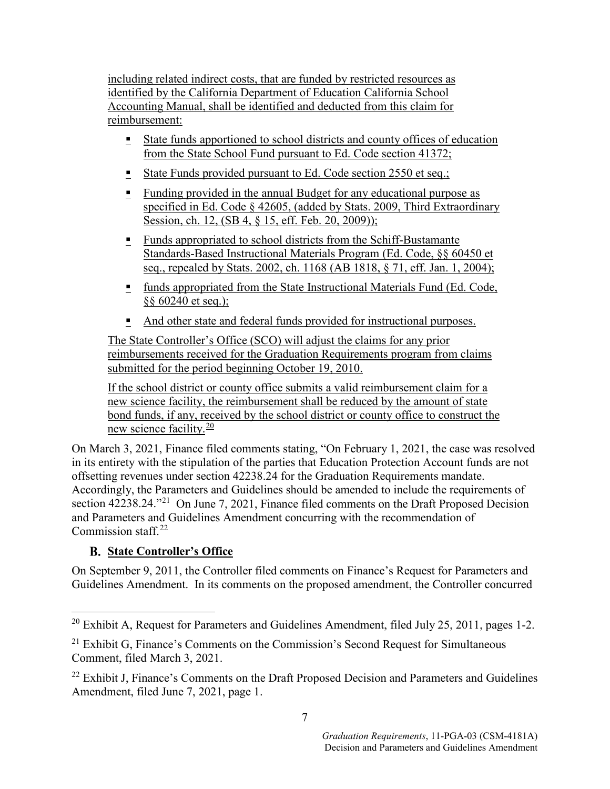including related indirect costs, that are funded by restricted resources as identified by the California Department of Education California School Accounting Manual, shall be identified and deducted from this claim for reimbursement:

- State funds apportioned to school districts and county offices of education from the State School Fund pursuant to Ed. Code section 41372;
- State Funds provided pursuant to Ed. Code section 2550 et seq.;
- Funding provided in the annual Budget for any educational purpose as specified in Ed. Code § 42605, (added by Stats. 2009, Third Extraordinary Session, ch. 12, (SB 4, § 15, eff. Feb. 20, 2009));
- <u>Funds appropriated to school districts from the Schiff-Bustamante</u> Standards-Based Instructional Materials Program (Ed. Code, §§ 60450 et seq., repealed by Stats. 2002, ch. 1168 (AB 1818, § 71, eff. Jan. 1, 2004);
- **funds appropriated from the State Instructional Materials Fund (Ed. Code,** §§ 60240 et seq.);
- And other state and federal funds provided for instructional purposes.

The State Controller's Office (SCO) will adjust the claims for any prior reimbursements received for the Graduation Requirements program from claims submitted for the period beginning October 19, 2010.

If the school district or county office submits a valid reimbursement claim for a new science facility, the reimbursement shall be reduced by the amount of state bond funds, if any, received by the school district or county office to construct the new science facility.[20](#page-8-0)

On March 3, 2021, Finance filed comments stating, "On February 1, 2021, the case was resolved in its entirety with the stipulation of the parties that Education Protection Account funds are not offsetting revenues under section 42238.24 for the Graduation Requirements mandate. Accordingly, the Parameters and Guidelines should be amended to include the requirements of section 42238.24."<sup>[21](#page-8-1)</sup> On June 7, 2021, Finance filed comments on the Draft Proposed Decision and Parameters and Guidelines Amendment concurring with the recommendation of Commission staff. $22$ 

## **State Controller's Office**

On September 9, 2011, the Controller filed comments on Finance's Request for Parameters and Guidelines Amendment. In its comments on the proposed amendment, the Controller concurred

<span id="page-8-0"></span><sup>&</sup>lt;sup>20</sup> Exhibit A, Request for Parameters and Guidelines Amendment, filed July 25, 2011, pages 1-2.

<span id="page-8-1"></span> $21$  Exhibit G, Finance's Comments on the Commission's Second Request for Simultaneous Comment, filed March 3, 2021.

<span id="page-8-2"></span> $22$  Exhibit J, Finance's Comments on the Draft Proposed Decision and Parameters and Guidelines Amendment, filed June 7, 2021, page 1.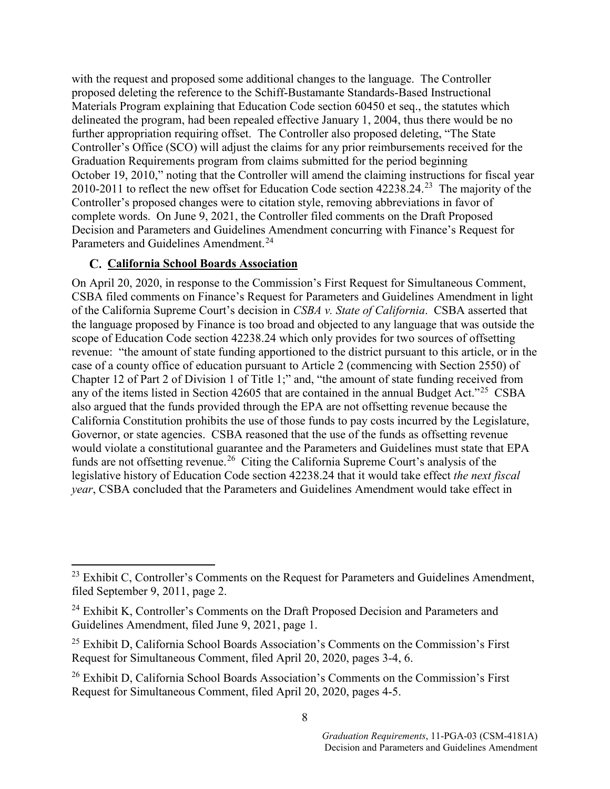with the request and proposed some additional changes to the language. The Controller proposed deleting the reference to the Schiff-Bustamante Standards-Based Instructional Materials Program explaining that Education Code section 60450 et seq., the statutes which delineated the program, had been repealed effective January 1, 2004, thus there would be no further appropriation requiring offset. The Controller also proposed deleting, "The State Controller's Office (SCO) will adjust the claims for any prior reimbursements received for the Graduation Requirements program from claims submitted for the period beginning October 19, 2010," noting that the Controller will amend the claiming instructions for fiscal year 2010-2011 to reflect the new offset for Education Code section  $42238.24$  $42238.24$  $42238.24$ <sup>23</sup> The majority of the Controller's proposed changes were to citation style, removing abbreviations in favor of complete words. On June 9, 2021, the Controller filed comments on the Draft Proposed Decision and Parameters and Guidelines Amendment concurring with Finance's Request for Parameters and Guidelines Amendment.<sup>[24](#page-9-1)</sup>

#### **California School Boards Association**

On April 20, 2020, in response to the Commission's First Request for Simultaneous Comment, CSBA filed comments on Finance's Request for Parameters and Guidelines Amendment in light of the California Supreme Court's decision in *CSBA v. State of California*. CSBA asserted that the language proposed by Finance is too broad and objected to any language that was outside the scope of Education Code section 42238.24 which only provides for two sources of offsetting revenue: "the amount of state funding apportioned to the district pursuant to this article, or in the case of a county office of education pursuant to Article 2 (commencing with Section 2550) of Chapter 12 of Part 2 of Division 1 of Title 1;" and, "the amount of state funding received from any of the items listed in Section 42605 that are contained in the annual Budget Act."<sup>25</sup> CSBA also argued that the funds provided through the EPA are not offsetting revenue because the California Constitution prohibits the use of those funds to pay costs incurred by the Legislature, Governor, or state agencies. CSBA reasoned that the use of the funds as offsetting revenue would violate a constitutional guarantee and the Parameters and Guidelines must state that EPA funds are not offsetting revenue.<sup>[26](#page-9-3)</sup> Citing the California Supreme Court's analysis of the legislative history of Education Code section 42238.24 that it would take effect *the next fiscal year*, CSBA concluded that the Parameters and Guidelines Amendment would take effect in

<span id="page-9-0"></span> $^{23}$  Exhibit C, Controller's Comments on the Request for Parameters and Guidelines Amendment, filed September 9, 2011, page 2.

<span id="page-9-1"></span> $24$  Exhibit K, Controller's Comments on the Draft Proposed Decision and Parameters and Guidelines Amendment, filed June 9, 2021, page 1.

<span id="page-9-2"></span> $25$  Exhibit D, California School Boards Association's Comments on the Commission's First Request for Simultaneous Comment, filed April 20, 2020, pages 3-4, 6.

<span id="page-9-3"></span> $26$  Exhibit D, California School Boards Association's Comments on the Commission's First Request for Simultaneous Comment, filed April 20, 2020, pages 4-5.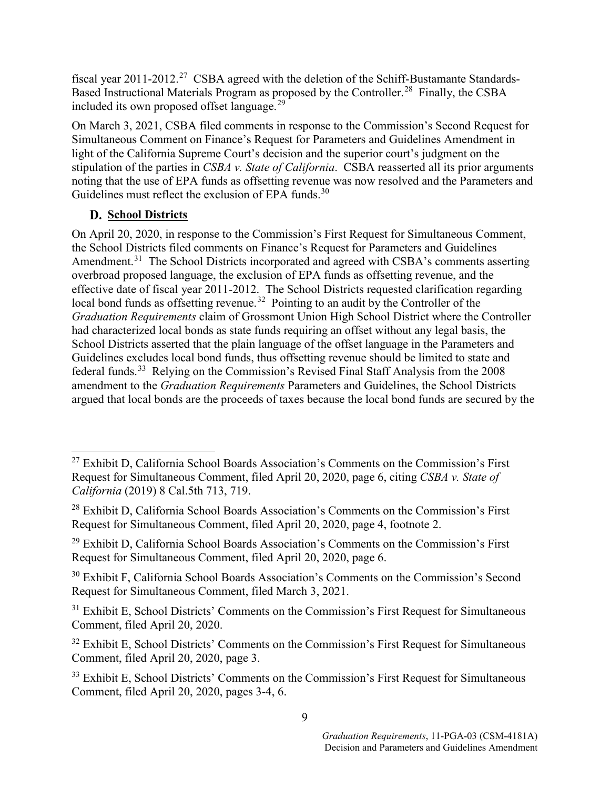fiscal year 2011-2012.<sup>[27](#page-10-0)</sup> CSBA agreed with the deletion of the Schiff-Bustamante Standards-Based Instructional Materials Program as proposed by the Controller.<sup>[28](#page-10-1)</sup> Finally, the CSBA included its own proposed offset language.[29](#page-10-2)

On March 3, 2021, CSBA filed comments in response to the Commission's Second Request for Simultaneous Comment on Finance's Request for Parameters and Guidelines Amendment in light of the California Supreme Court's decision and the superior court's judgment on the stipulation of the parties in *CSBA v. State of California*. CSBA reasserted all its prior arguments noting that the use of EPA funds as offsetting revenue was now resolved and the Parameters and Guidelines must reflect the exclusion of EPA funds.<sup>[30](#page-10-3)</sup>

### **D.** School Districts

On April 20, 2020, in response to the Commission's First Request for Simultaneous Comment, the School Districts filed comments on Finance's Request for Parameters and Guidelines Amendment.<sup>[31](#page-10-4)</sup> The School Districts incorporated and agreed with CSBA's comments asserting overbroad proposed language, the exclusion of EPA funds as offsetting revenue, and the effective date of fiscal year 2011-2012. The School Districts requested clarification regarding local bond funds as offsetting revenue.<sup>32</sup> Pointing to an audit by the Controller of the *Graduation Requirements* claim of Grossmont Union High School District where the Controller had characterized local bonds as state funds requiring an offset without any legal basis, the School Districts asserted that the plain language of the offset language in the Parameters and Guidelines excludes local bond funds, thus offsetting revenue should be limited to state and federal funds.[33](#page-10-6) Relying on the Commission's Revised Final Staff Analysis from the 2008 amendment to the *Graduation Requirements* Parameters and Guidelines, the School Districts argued that local bonds are the proceeds of taxes because the local bond funds are secured by the

<span id="page-10-0"></span> $27$  Exhibit D, California School Boards Association's Comments on the Commission's First Request for Simultaneous Comment, filed April 20, 2020, page 6, citing *CSBA v. State of California* (2019) 8 Cal.5th 713, 719.

<span id="page-10-1"></span> $28$  Exhibit D, California School Boards Association's Comments on the Commission's First Request for Simultaneous Comment, filed April 20, 2020, page 4, footnote 2.

<span id="page-10-2"></span> $29$  Exhibit D, California School Boards Association's Comments on the Commission's First Request for Simultaneous Comment, filed April 20, 2020, page 6.

<span id="page-10-3"></span><sup>30</sup> Exhibit F, California School Boards Association's Comments on the Commission's Second Request for Simultaneous Comment, filed March 3, 2021.

<span id="page-10-4"></span> $31$  Exhibit E, School Districts' Comments on the Commission's First Request for Simultaneous Comment, filed April 20, 2020.

<span id="page-10-5"></span> $32$  Exhibit E, School Districts' Comments on the Commission's First Request for Simultaneous Comment, filed April 20, 2020, page 3.

<span id="page-10-6"></span> $33$  Exhibit E, School Districts' Comments on the Commission's First Request for Simultaneous Comment, filed April 20, 2020, pages 3-4, 6.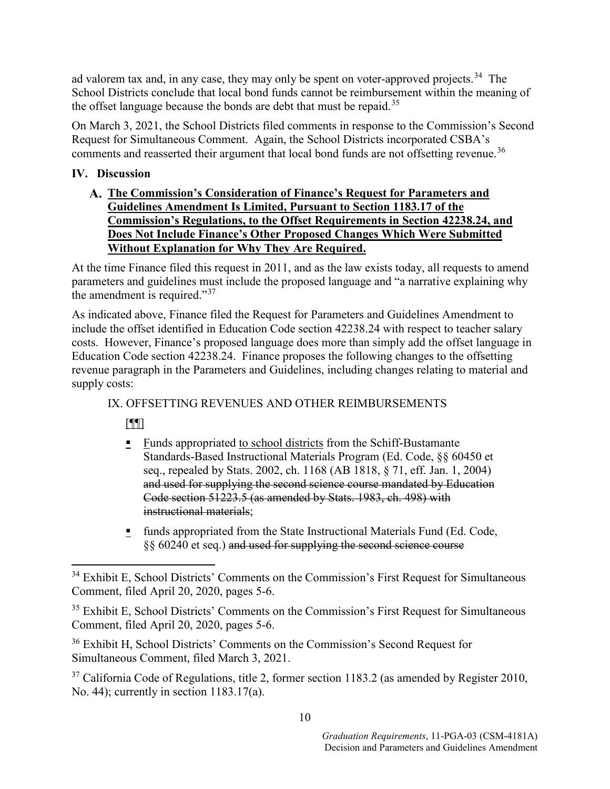ad valorem tax and, in any case, they may only be spent on voter-approved projects.<sup>[34](#page-11-0)</sup> The School Districts conclude that local bond funds cannot be reimbursement within the meaning of the offset language because the bonds are debt that must be repaid.<sup>[35](#page-11-1)</sup>

On March 3, 2021, the School Districts filed comments in response to the Commission's Second Request for Simultaneous Comment. Again, the School Districts incorporated CSBA's comments and reasserted their argument that local bond funds are not offsetting revenue.<sup>[36](#page-11-2)</sup>

### **IV. Discussion**

**The Commission's Consideration of Finance's Request for Parameters and Guidelines Amendment Is Limited, Pursuant to Section 1183.17 of the Commission's Regulations, to the Offset Requirements in Section 42238.24, and Does Not Include Finance's Other Proposed Changes Which Were Submitted Without Explanation for Why They Are Required.**

At the time Finance filed this request in 2011, and as the law exists today, all requests to amend parameters and guidelines must include the proposed language and "a narrative explaining why the amendment is required."[37](#page-11-3)

As indicated above, Finance filed the Request for Parameters and Guidelines Amendment to include the offset identified in Education Code section 42238.24 with respect to teacher salary costs. However, Finance's proposed language does more than simply add the offset language in Education Code section 42238.24. Finance proposes the following changes to the offsetting revenue paragraph in the Parameters and Guidelines, including changes relating to material and supply costs:

### IX. OFFSETTING REVENUES AND OTHER REIMBURSEMENTS

[¶¶]

- $\blacksquare$  Funds appropriated to school districts from the Schiff-Bustamante Standards-Based Instructional Materials Program (Ed. Code, §§ 60450 et seq., repealed by Stats. 2002, ch. 1168 (AB 1818, § 71, eff. Jan. 1, 2004) and used for supplying the second science course mandated by Education Code section 51223.5 (as amended by Stats. 1983, ch. 498) with instructional materials;
- $\blacksquare$  funds appropriated from the State Instructional Materials Fund (Ed. Code, §§ 60240 et seq.) and used for supplying the second science course

<span id="page-11-0"></span><sup>&</sup>lt;sup>34</sup> Exhibit E, School Districts' Comments on the Commission's First Request for Simultaneous Comment, filed April 20, 2020, pages 5-6.

<span id="page-11-1"></span> $35$  Exhibit E, School Districts' Comments on the Commission's First Request for Simultaneous Comment, filed April 20, 2020, pages 5-6.

<span id="page-11-2"></span><sup>36</sup> Exhibit H, School Districts' Comments on the Commission's Second Request for Simultaneous Comment, filed March 3, 2021.

<span id="page-11-3"></span> $37$  California Code of Regulations, title 2, former section 1183.2 (as amended by Register 2010, No. 44); currently in section 1183.17(a).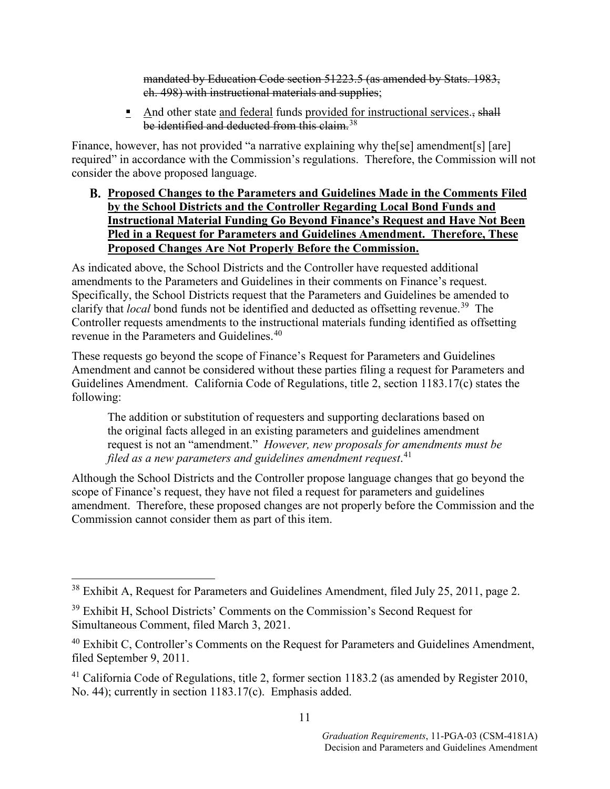mandated by Education Code section 51223.5 (as amended by Stats. 1983, ch. 498) with instructional materials and supplies;

And other state and federal funds provided for instructional services., shall be identified and deducted from this claim.<sup>[38](#page-12-0)</sup>

Finance, however, has not provided "a narrative explaining why the[se] amendment[s] [are] required" in accordance with the Commission's regulations. Therefore, the Commission will not consider the above proposed language.

**Proposed Changes to the Parameters and Guidelines Made in the Comments Filed by the School Districts and the Controller Regarding Local Bond Funds and Instructional Material Funding Go Beyond Finance's Request and Have Not Been Pled in a Request for Parameters and Guidelines Amendment. Therefore, These Proposed Changes Are Not Properly Before the Commission.** 

As indicated above, the School Districts and the Controller have requested additional amendments to the Parameters and Guidelines in their comments on Finance's request. Specifically, the School Districts request that the Parameters and Guidelines be amended to clarify that *local* bond funds not be identified and deducted as offsetting revenue.<sup>39</sup> The Controller requests amendments to the instructional materials funding identified as offsetting revenue in the Parameters and Guidelines.<sup>[40](#page-12-2)</sup>

These requests go beyond the scope of Finance's Request for Parameters and Guidelines Amendment and cannot be considered without these parties filing a request for Parameters and Guidelines Amendment. California Code of Regulations, title 2, section 1183.17(c) states the following:

The addition or substitution of requesters and supporting declarations based on the original facts alleged in an existing parameters and guidelines amendment request is not an "amendment." *However, new proposals for amendments must be filed as a new parameters and guidelines amendment request*. [41](#page-12-3)

Although the School Districts and the Controller propose language changes that go beyond the scope of Finance's request, they have not filed a request for parameters and guidelines amendment. Therefore, these proposed changes are not properly before the Commission and the Commission cannot consider them as part of this item.

<span id="page-12-0"></span><sup>&</sup>lt;sup>38</sup> Exhibit A, Request for Parameters and Guidelines Amendment, filed July 25, 2011, page 2.

<span id="page-12-1"></span><sup>39</sup> Exhibit H, School Districts' Comments on the Commission's Second Request for Simultaneous Comment, filed March 3, 2021.

<span id="page-12-2"></span><sup>&</sup>lt;sup>40</sup> Exhibit C, Controller's Comments on the Request for Parameters and Guidelines Amendment, filed September 9, 2011.

<span id="page-12-3"></span><sup>&</sup>lt;sup>41</sup> California Code of Regulations, title 2, former section 1183.2 (as amended by Register 2010, No. 44); currently in section 1183.17(c). Emphasis added.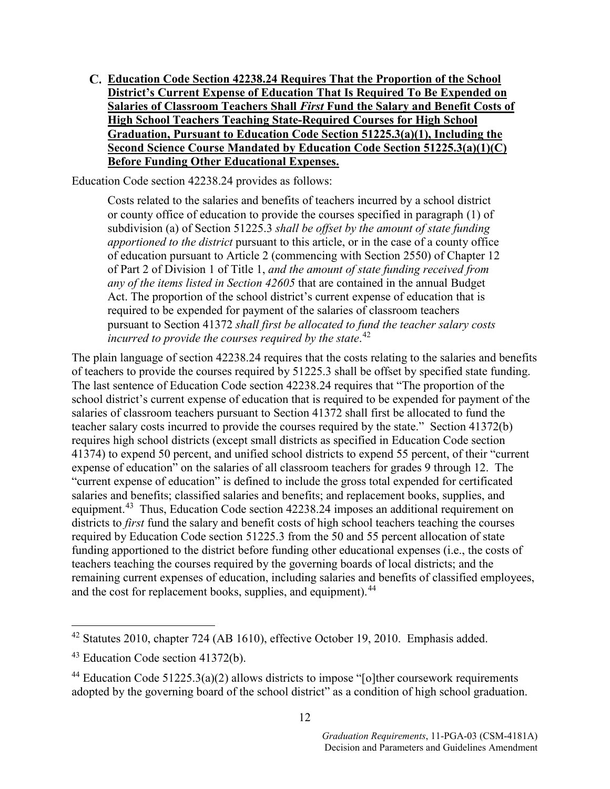**Education Code Section 42238.24 Requires That the Proportion of the School District's Current Expense of Education That Is Required To Be Expended on Salaries of Classroom Teachers Shall** *First* **Fund the Salary and Benefit Costs of High School Teachers Teaching State-Required Courses for High School Graduation, Pursuant to Education Code Section 51225.3(a)(1), Including the Second Science Course Mandated by Education Code Section 51225.3(a)(1)(C) Before Funding Other Educational Expenses.** 

Education Code section 42238.24 provides as follows:

Costs related to the salaries and benefits of teachers incurred by a school district or county office of education to provide the courses specified in paragraph (1) of subdivision (a) of Section 51225.3 *shall be offset by the amount of state funding apportioned to the district* pursuant to this article, or in the case of a county office of education pursuant to Article 2 (commencing with Section 2550) of Chapter 12 of Part 2 of Division 1 of Title 1, *and the amount of state funding received from any of the items listed in Section 42605* that are contained in the annual Budget Act. The proportion of the school district's current expense of education that is required to be expended for payment of the salaries of classroom teachers pursuant to Section 41372 *shall first be allocated to fund the teacher salary costs incurred to provide the courses required by the state*. [42](#page-13-0)

The plain language of section 42238.24 requires that the costs relating to the salaries and benefits of teachers to provide the courses required by 51225.3 shall be offset by specified state funding. The last sentence of Education Code section 42238.24 requires that "The proportion of the school district's current expense of education that is required to be expended for payment of the salaries of classroom teachers pursuant to Section 41372 shall first be allocated to fund the teacher salary costs incurred to provide the courses required by the state." Section 41372(b) requires high school districts (except small districts as specified in Education Code section 41374) to expend 50 percent, and unified school districts to expend 55 percent, of their "current expense of education" on the salaries of all classroom teachers for grades 9 through 12. The "current expense of education" is defined to include the gross total expended for certificated salaries and benefits; classified salaries and benefits; and replacement books, supplies, and equipment.<sup>[43](#page-13-1)</sup> Thus, Education Code section 42238.24 imposes an additional requirement on districts to *first* fund the salary and benefit costs of high school teachers teaching the courses required by Education Code section 51225.3 from the 50 and 55 percent allocation of state funding apportioned to the district before funding other educational expenses (i.e., the costs of teachers teaching the courses required by the governing boards of local districts; and the remaining current expenses of education, including salaries and benefits of classified employees, and the cost for replacement books, supplies, and equipment).<sup>[44](#page-13-2)</sup>

<span id="page-13-0"></span> <sup>42</sup> Statutes 2010, chapter 724 (AB 1610), effective October 19, 2010. Emphasis added.

<span id="page-13-1"></span><sup>43</sup> Education Code section 41372(b).

<span id="page-13-2"></span><sup>&</sup>lt;sup>44</sup> Education Code 51225.3(a)(2) allows districts to impose "[o] ther coursework requirements adopted by the governing board of the school district" as a condition of high school graduation.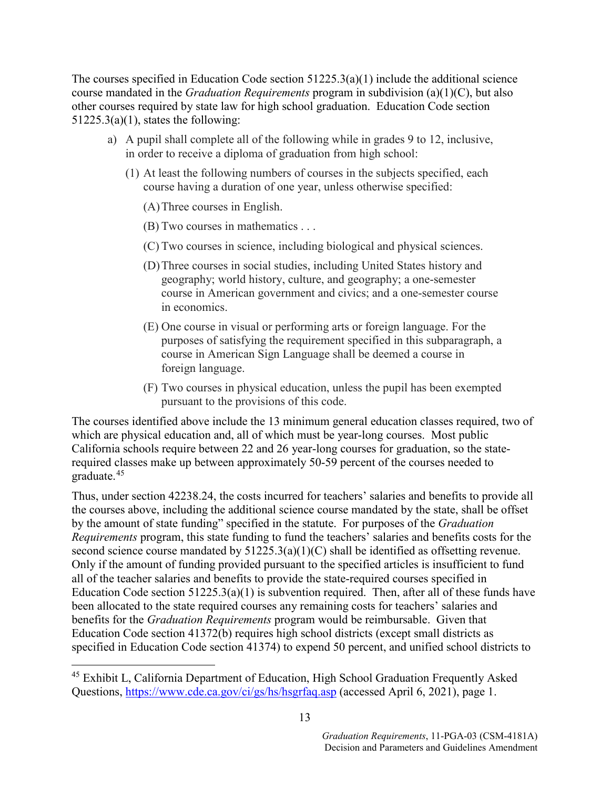The courses specified in Education Code section  $51225.3(a)(1)$  include the additional science course mandated in the *Graduation Requirements* program in subdivision (a)(1)(C), but also other courses required by state law for high school graduation. Education Code section  $51225.3(a)(1)$ , states the following:

- a) A pupil shall complete all of the following while in grades 9 to 12, inclusive, in order to receive a diploma of graduation from high school:
	- (1) At least the following numbers of courses in the subjects specified, each course having a duration of one year, unless otherwise specified:
		- (A)Three courses in English.
		- (B) Two courses in mathematics . . .
		- (C) Two courses in science, including biological and physical sciences.
		- (D)Three courses in social studies, including United States history and geography; world history, culture, and geography; a one-semester course in American government and civics; and a one-semester course in economics.
		- (E) One course in visual or performing arts or foreign language. For the purposes of satisfying the requirement specified in this subparagraph, a course in American Sign Language shall be deemed a course in foreign language.
		- (F) Two courses in physical education, unless the pupil has been exempted pursuant to the provisions of this code.

The courses identified above include the 13 minimum general education classes required, two of which are physical education and, all of which must be year-long courses. Most public California schools require between 22 and 26 year-long courses for graduation, so the staterequired classes make up between approximately 50-59 percent of the courses needed to graduate.[45](#page-14-0)

Thus, under section 42238.24, the costs incurred for teachers' salaries and benefits to provide all the courses above, including the additional science course mandated by the state, shall be offset by the amount of state funding" specified in the statute. For purposes of the *Graduation Requirements* program, this state funding to fund the teachers' salaries and benefits costs for the second science course mandated by 51225.3(a)(1)(C) shall be identified as offsetting revenue. Only if the amount of funding provided pursuant to the specified articles is insufficient to fund all of the teacher salaries and benefits to provide the state-required courses specified in Education Code section  $51225.3(a)(1)$  is subvention required. Then, after all of these funds have been allocated to the state required courses any remaining costs for teachers' salaries and benefits for the *Graduation Requirements* program would be reimbursable. Given that Education Code section 41372(b) requires high school districts (except small districts as specified in Education Code section 41374) to expend 50 percent, and unified school districts to

<span id="page-14-0"></span><sup>&</sup>lt;sup>45</sup> Exhibit L, California Department of Education, High School Graduation Frequently Asked Questions,<https://www.cde.ca.gov/ci/gs/hs/hsgrfaq.asp> (accessed April 6, 2021), page 1.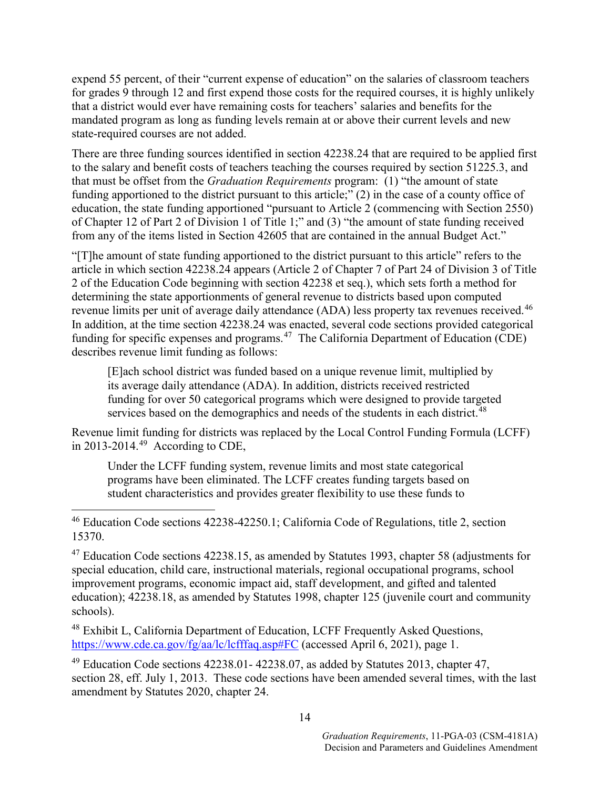expend 55 percent, of their "current expense of education" on the salaries of classroom teachers for grades 9 through 12 and first expend those costs for the required courses, it is highly unlikely that a district would ever have remaining costs for teachers' salaries and benefits for the mandated program as long as funding levels remain at or above their current levels and new state-required courses are not added.

There are three funding sources identified in section 42238.24 that are required to be applied first to the salary and benefit costs of teachers teaching the courses required by section 51225.3, and that must be offset from the *Graduation Requirements* program: (1) "the amount of state funding apportioned to the district pursuant to this article;" (2) in the case of a county office of education, the state funding apportioned "pursuant to Article 2 (commencing with Section 2550) of Chapter 12 of Part 2 of Division 1 of Title 1;" and (3) "the amount of state funding received from any of the items listed in Section 42605 that are contained in the annual Budget Act."

"[T]he amount of state funding apportioned to the district pursuant to this article" refers to the article in which section 42238.24 appears (Article 2 of Chapter 7 of Part 24 of Division 3 of Title 2 of the Education Code beginning with section 42238 et seq.), which sets forth a method for determining the state apportionments of general revenue to districts based upon computed revenue limits per unit of average daily attendance (ADA) less property tax revenues received.<sup>[46](#page-15-0)</sup> In addition, at the time section 42238.24 was enacted, several code sections provided categorical funding for specific expenses and programs.<sup>[47](#page-15-1)</sup> The California Department of Education (CDE) describes revenue limit funding as follows:

[E]ach school district was funded based on a unique revenue limit, multiplied by its average daily attendance (ADA). In addition, districts received restricted funding for over 50 categorical programs which were designed to provide targeted services based on the demographics and needs of the students in each district.<sup>[48](#page-15-2)</sup>

Revenue limit funding for districts was replaced by the Local Control Funding Formula (LCFF) in  $2013-2014.^{49}$  $2013-2014.^{49}$  $2013-2014.^{49}$  According to CDE,

Under the LCFF funding system, revenue limits and most state categorical programs have been eliminated. The LCFF creates funding targets based on student characteristics and provides greater flexibility to use these funds to

<span id="page-15-0"></span> 46 Education Code sections 42238-42250.1; California Code of Regulations, title 2, section 15370.

<span id="page-15-1"></span> $47$  Education Code sections 42238.15, as amended by Statutes 1993, chapter 58 (adjustments for special education, child care, instructional materials, regional occupational programs, school improvement programs, economic impact aid, staff development, and gifted and talented education); 42238.18, as amended by Statutes 1998, chapter 125 (juvenile court and community schools).

<span id="page-15-2"></span><sup>48</sup> Exhibit L, California Department of Education, LCFF Frequently Asked Questions, <https://www.cde.ca.gov/fg/aa/lc/lcfffaq.asp#FC> (accessed April 6, 2021), page 1.

<span id="page-15-3"></span> $49$  Education Code sections 42238.01 - 42238.07, as added by Statutes 2013, chapter 47, section 28, eff. July 1, 2013. These code sections have been amended several times, with the last amendment by Statutes 2020, chapter 24.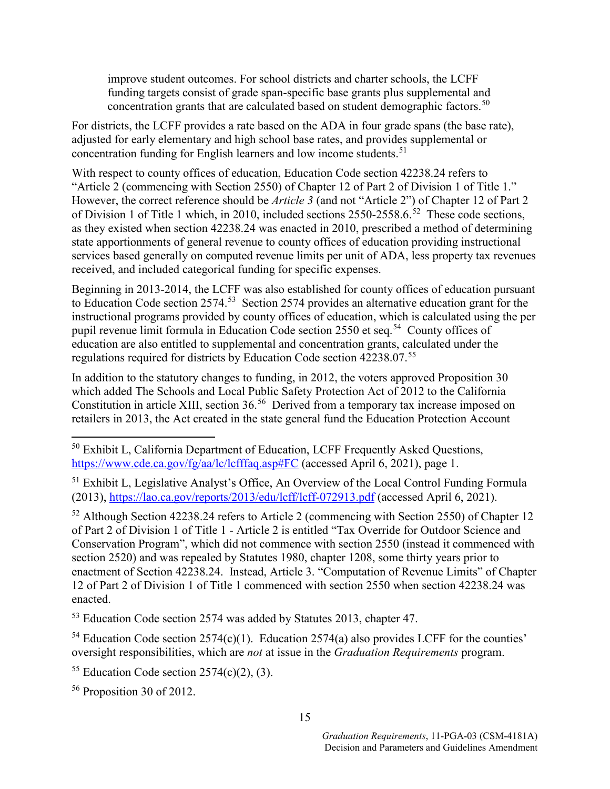improve student outcomes. For school districts and charter schools, the LCFF funding targets consist of grade span-specific base grants plus supplemental and concentration grants that are calculated based on student demographic factors.<sup>[50](#page-16-0)</sup>

For districts, the LCFF provides a rate based on the ADA in four grade spans (the base rate), adjusted for early elementary and high school base rates, and provides supplemental or concentration funding for English learners and low income students.<sup>[51](#page-16-1)</sup>

With respect to county offices of education, Education Code section 42238.24 refers to "Article 2 (commencing with Section 2550) of Chapter 12 of Part 2 of Division 1 of Title 1." However, the correct reference should be *Article 3* (and not "Article 2") of Chapter 12 of Part 2 of Division 1 of Title 1 which, in 2010, included sections 2550-2558.6.<sup>[52](#page-16-2)</sup> These code sections, as they existed when section 42238.24 was enacted in 2010, prescribed a method of determining state apportionments of general revenue to county offices of education providing instructional services based generally on computed revenue limits per unit of ADA, less property tax revenues received, and included categorical funding for specific expenses.

Beginning in 2013-2014, the LCFF was also established for county offices of education pursuant to Education Code section 2574.<sup>[53](#page-16-3)</sup> Section 2574 provides an alternative education grant for the instructional programs provided by county offices of education, which is calculated using the per pupil revenue limit formula in Education Code section 2550 et seq.<sup>54</sup> County offices of education are also entitled to supplemental and concentration grants, calculated under the regulations required for districts by Education Code section 42238.07.[55](#page-16-5)

In addition to the statutory changes to funding, in 2012, the voters approved Proposition 30 which added The Schools and Local Public Safety Protection Act of 2012 to the California Constitution in article XIII, section 36.<sup>[56](#page-16-6)</sup> Derived from a temporary tax increase imposed on retailers in 2013, the Act created in the state general fund the Education Protection Account

<span id="page-16-2"></span><sup>52</sup> Although Section 42238.24 refers to Article 2 (commencing with Section 2550) of Chapter 12 of Part 2 of Division 1 of Title 1 - Article 2 is entitled "Tax Override for Outdoor Science and Conservation Program", which did not commence with section 2550 (instead it commenced with section 2520) and was repealed by Statutes 1980, chapter 1208, some thirty years prior to enactment of Section 42238.24. Instead, Article 3. "Computation of Revenue Limits" of Chapter 12 of Part 2 of Division 1 of Title 1 commenced with section 2550 when section 42238.24 was enacted.

<span id="page-16-3"></span><sup>53</sup> Education Code section 2574 was added by Statutes 2013, chapter 47.

<span id="page-16-4"></span><sup>54</sup> Education Code section 2574(c)(1). Education 2574(a) also provides LCFF for the counties' oversight responsibilities, which are *not* at issue in the *Graduation Requirements* program.

<span id="page-16-5"></span><sup>55</sup> Education Code section  $2574(c)(2)$ , (3).

<span id="page-16-6"></span><sup>56</sup> Proposition 30 of 2012.

<span id="page-16-0"></span><sup>&</sup>lt;sup>50</sup> Exhibit L, California Department of Education, LCFF Frequently Asked Questions, <https://www.cde.ca.gov/fg/aa/lc/lcfffaq.asp#FC> (accessed April 6, 2021), page 1.

<span id="page-16-1"></span><sup>&</sup>lt;sup>51</sup> Exhibit L, Legislative Analyst's Office, An Overview of the Local Control Funding Formula (2013), <https://lao.ca.gov/reports/2013/edu/lcff/lcff-072913.pdf> (accessed April 6, 2021).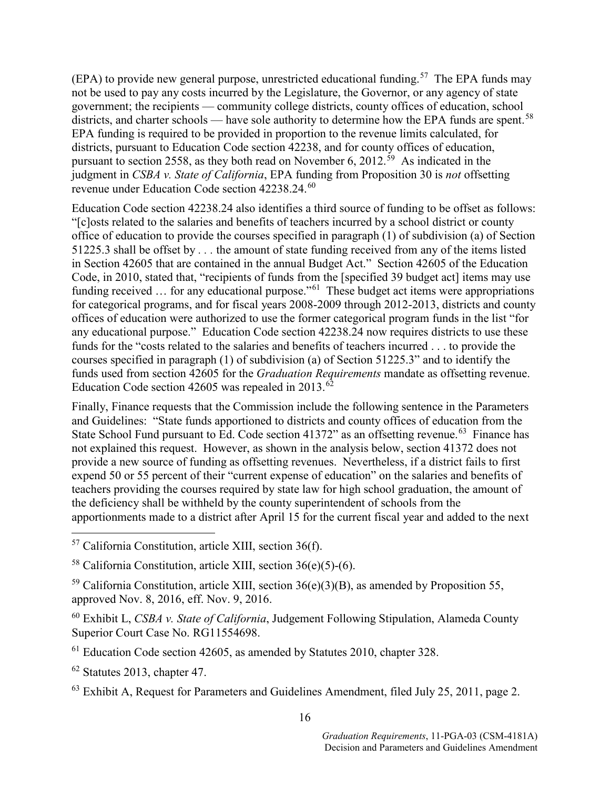(EPA) to provide new general purpose, unrestricted educational funding.<sup>57</sup> The EPA funds may not be used to pay any costs incurred by the Legislature, the Governor, or any agency of state government; the recipients — community college districts, county offices of education, school districts, and charter schools — have sole authority to determine how the EPA funds are spent.<sup>58</sup> EPA funding is required to be provided in proportion to the revenue limits calculated, for districts, pursuant to Education Code section 42238, and for county offices of education, pursuant to section 2558, as they both read on November 6, 2012.<sup>59</sup> As indicated in the judgment in *CSBA v. State of California*, EPA funding from Proposition 30 is *not* offsetting revenue under Education Code section 42238.24.<sup>[60](#page-17-3)</sup>

Education Code section 42238.24 also identifies a third source of funding to be offset as follows: "[c]osts related to the salaries and benefits of teachers incurred by a school district or county office of education to provide the courses specified in paragraph (1) of subdivision (a) of Section 51225.3 shall be offset by *. . .* the amount of state funding received from any of the items listed in Section 42605 that are contained in the annual Budget Act." Section 42605 of the Education Code, in 2010, stated that, "recipients of funds from the [specified 39 budget act] items may use funding received ... for any educational purpose."<sup>[61](#page-17-4)</sup> These budget act items were appropriations for categorical programs, and for fiscal years 2008-2009 through 2012-2013, districts and county offices of education were authorized to use the former categorical program funds in the list "for any educational purpose." Education Code section 42238.24 now requires districts to use these funds for the "costs related to the salaries and benefits of teachers incurred . . . to provide the courses specified in paragraph (1) of subdivision (a) of Section 51225.3" and to identify the funds used from section 42605 for the *Graduation Requirements* mandate as offsetting revenue. Education Code section 42605 was repealed in 2013. $62$ 

Finally, Finance requests that the Commission include the following sentence in the Parameters and Guidelines: "State funds apportioned to districts and county offices of education from the State School Fund pursuant to Ed. Code section 41372" as an offsetting revenue.<sup>63</sup> Finance has not explained this request. However, as shown in the analysis below, section 41372 does not provide a new source of funding as offsetting revenues. Nevertheless, if a district fails to first expend 50 or 55 percent of their "current expense of education" on the salaries and benefits of teachers providing the courses required by state law for high school graduation, the amount of the deficiency shall be withheld by the county superintendent of schools from the apportionments made to a district after April 15 for the current fiscal year and added to the next

- <span id="page-17-0"></span>57 California Constitution, article XIII, section 36(f).
- <span id="page-17-1"></span><sup>58</sup> California Constitution, article XIII, section 36(e)(5)-(6).

<span id="page-17-2"></span> $59$  California Constitution, article XIII, section 36(e)(3)(B), as amended by Proposition 55, approved Nov. 8, 2016, eff. Nov. 9, 2016.

- <span id="page-17-3"></span><sup>60</sup> Exhibit L, *CSBA v. State of California*, Judgement Following Stipulation, Alameda County Superior Court Case No. RG11554698.
- <span id="page-17-4"></span><sup>61</sup> Education Code section 42605, as amended by Statutes 2010, chapter 328.
- <span id="page-17-5"></span><sup>62</sup> Statutes 2013, chapter 47.
- <span id="page-17-6"></span> $63$  Exhibit A, Request for Parameters and Guidelines Amendment, filed July 25, 2011, page 2.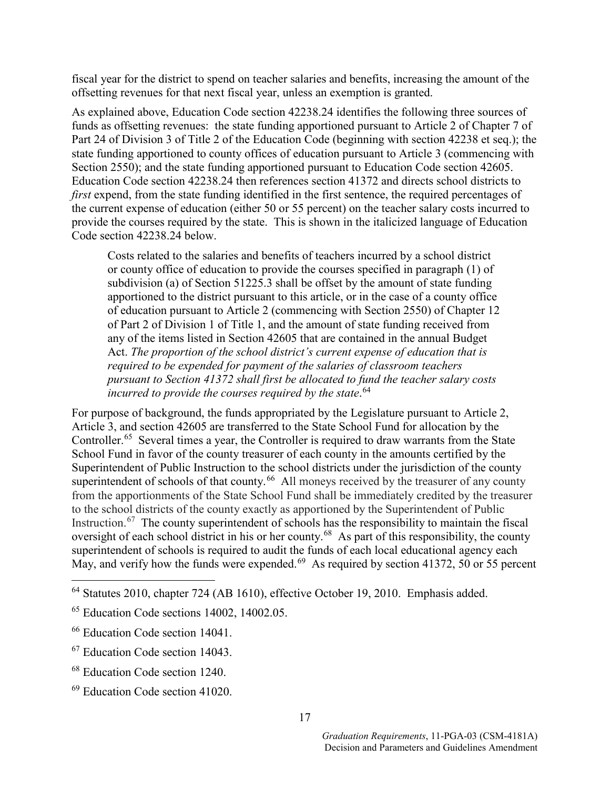fiscal year for the district to spend on teacher salaries and benefits, increasing the amount of the offsetting revenues for that next fiscal year, unless an exemption is granted.

As explained above, Education Code section 42238.24 identifies the following three sources of funds as offsetting revenues: the state funding apportioned pursuant to Article 2 of Chapter 7 of Part 24 of Division 3 of Title 2 of the Education Code (beginning with section 42238 et seq.); the state funding apportioned to county offices of education pursuant to Article 3 (commencing with Section 2550); and the state funding apportioned pursuant to Education Code section 42605. Education Code section 42238.24 then references section 41372 and directs school districts to *first* expend, from the state funding identified in the first sentence, the required percentages of the current expense of education (either 50 or 55 percent) on the teacher salary costs incurred to provide the courses required by the state. This is shown in the italicized language of Education Code section 42238.24 below.

Costs related to the salaries and benefits of teachers incurred by a school district or county office of education to provide the courses specified in paragraph (1) of subdivision (a) of Section 51225.3 shall be offset by the amount of state funding apportioned to the district pursuant to this article, or in the case of a county office of education pursuant to Article 2 (commencing with Section 2550) of Chapter 12 of Part 2 of Division 1 of Title 1, and the amount of state funding received from any of the items listed in Section 42605 that are contained in the annual Budget Act. *The proportion of the school district's current expense of education that is required to be expended for payment of the salaries of classroom teachers pursuant to Section 41372 shall first be allocated to fund the teacher salary costs incurred to provide the courses required by the state*. [64](#page-18-0)

For purpose of background, the funds appropriated by the Legislature pursuant to Article 2, Article 3, and section 42605 are transferred to the State School Fund for allocation by the Controller.<sup>65</sup> Several times a year, the Controller is required to draw warrants from the State School Fund in favor of the county treasurer of each county in the amounts certified by the Superintendent of Public Instruction to the school districts under the jurisdiction of the county superintendent of schools of that county.<sup>[66](#page-18-2)</sup> All moneys received by the treasurer of any county from the apportionments of the State School Fund shall be immediately credited by the treasurer to the school districts of the county exactly as apportioned by the Superintendent of Public Instruction.<sup>67</sup> The county superintendent of schools has the responsibility to maintain the fiscal oversight of each school district in his or her county.<sup>[68](#page-18-4)</sup> As part of this responsibility, the county superintendent of schools is required to audit the funds of each local educational agency each May, and verify how the funds were expended.<sup>69</sup> As required by section 41372, 50 or 55 percent

<span id="page-18-0"></span> <sup>64</sup> Statutes 2010, chapter 724 (AB 1610), effective October 19, 2010. Emphasis added.

<span id="page-18-1"></span><sup>65</sup> Education Code sections 14002, 14002.05.

<span id="page-18-2"></span><sup>66</sup> Education Code section 14041.

<span id="page-18-3"></span><sup>67</sup> Education Code section 14043.

<span id="page-18-4"></span><sup>68</sup> Education Code section 1240.

<span id="page-18-5"></span><sup>69</sup> Education Code section 41020.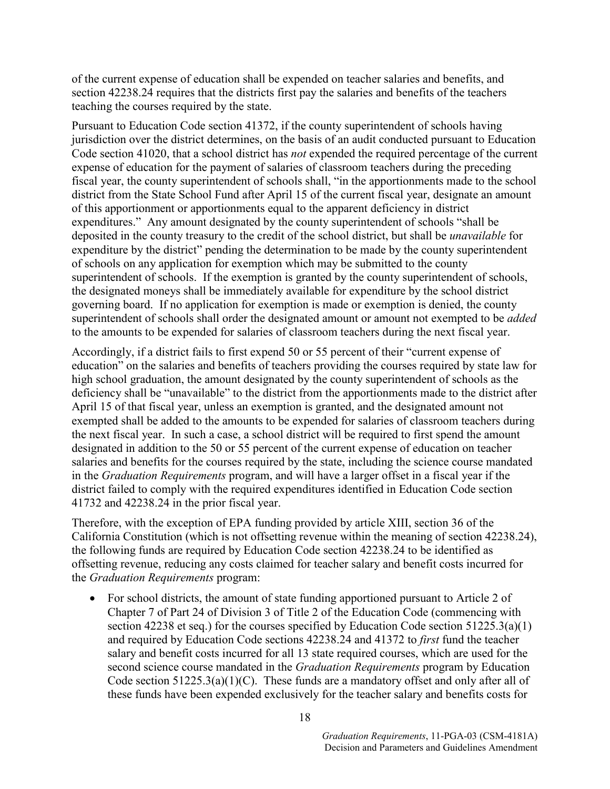of the current expense of education shall be expended on teacher salaries and benefits, and section 42238.24 requires that the districts first pay the salaries and benefits of the teachers teaching the courses required by the state.

Pursuant to Education Code section 41372, if the county superintendent of schools having jurisdiction over the district determines, on the basis of an audit conducted pursuant to Education Code section 41020, that a school district has *not* expended the required percentage of the current expense of education for the payment of salaries of classroom teachers during the preceding fiscal year, the county superintendent of schools shall, "in the apportionments made to the school district from the State School Fund after April 15 of the current fiscal year, designate an amount of this apportionment or apportionments equal to the apparent deficiency in district expenditures." Any amount designated by the county superintendent of schools "shall be deposited in the county treasury to the credit of the school district, but shall be *unavailable* for expenditure by the district" pending the determination to be made by the county superintendent of schools on any application for exemption which may be submitted to the county superintendent of schools. If the exemption is granted by the county superintendent of schools, the designated moneys shall be immediately available for expenditure by the school district governing board. If no application for exemption is made or exemption is denied, the county superintendent of schools shall order the designated amount or amount not exempted to be *added* to the amounts to be expended for salaries of classroom teachers during the next fiscal year.

Accordingly, if a district fails to first expend 50 or 55 percent of their "current expense of education" on the salaries and benefits of teachers providing the courses required by state law for high school graduation, the amount designated by the county superintendent of schools as the deficiency shall be "unavailable" to the district from the apportionments made to the district after April 15 of that fiscal year, unless an exemption is granted, and the designated amount not exempted shall be added to the amounts to be expended for salaries of classroom teachers during the next fiscal year. In such a case, a school district will be required to first spend the amount designated in addition to the 50 or 55 percent of the current expense of education on teacher salaries and benefits for the courses required by the state, including the science course mandated in the *Graduation Requirements* program, and will have a larger offset in a fiscal year if the district failed to comply with the required expenditures identified in Education Code section 41732 and 42238.24 in the prior fiscal year.

Therefore, with the exception of EPA funding provided by article XIII, section 36 of the California Constitution (which is not offsetting revenue within the meaning of section 42238.24), the following funds are required by Education Code section 42238.24 to be identified as offsetting revenue, reducing any costs claimed for teacher salary and benefit costs incurred for the *Graduation Requirements* program:

• For school districts, the amount of state funding apportioned pursuant to Article 2 of Chapter 7 of Part 24 of Division 3 of Title 2 of the Education Code (commencing with section 42238 et seq.) for the courses specified by Education Code section 51225.3(a)(1) and required by Education Code sections 42238.24 and 41372 to *first* fund the teacher salary and benefit costs incurred for all 13 state required courses, which are used for the second science course mandated in the *Graduation Requirements* program by Education Code section  $51225.3(a)(1)(C)$ . These funds are a mandatory offset and only after all of these funds have been expended exclusively for the teacher salary and benefits costs for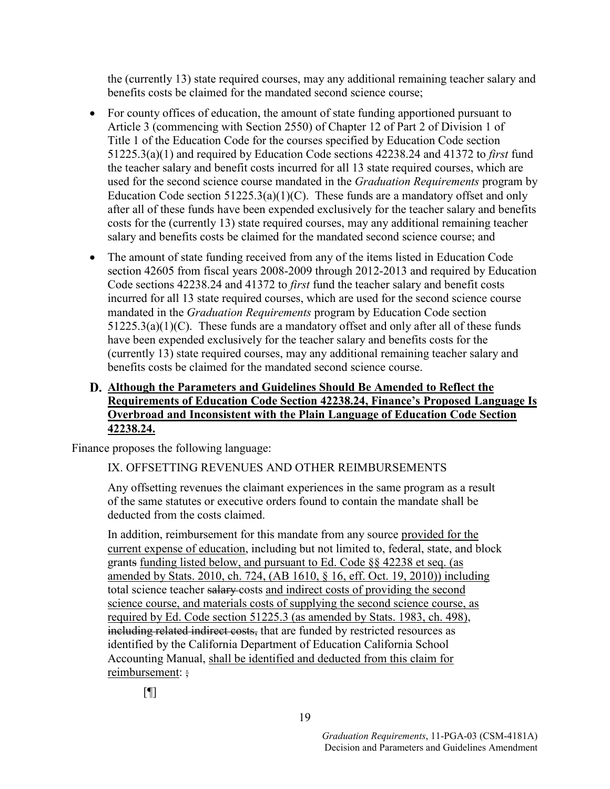the (currently 13) state required courses, may any additional remaining teacher salary and benefits costs be claimed for the mandated second science course;

- For county offices of education, the amount of state funding apportioned pursuant to Article 3 (commencing with Section 2550) of Chapter 12 of Part 2 of Division 1 of Title 1 of the Education Code for the courses specified by Education Code section 51225.3(a)(1) and required by Education Code sections 42238.24 and 41372 to *first* fund the teacher salary and benefit costs incurred for all 13 state required courses, which are used for the second science course mandated in the *Graduation Requirements* program by Education Code section  $51225.3(a)(1)(C)$ . These funds are a mandatory offset and only after all of these funds have been expended exclusively for the teacher salary and benefits costs for the (currently 13) state required courses, may any additional remaining teacher salary and benefits costs be claimed for the mandated second science course; and
- The amount of state funding received from any of the items listed in Education Code section 42605 from fiscal years 2008-2009 through 2012-2013 and required by Education Code sections 42238.24 and 41372 to *first* fund the teacher salary and benefit costs incurred for all 13 state required courses, which are used for the second science course mandated in the *Graduation Requirements* program by Education Code section  $51225.3(a)(1)(C)$ . These funds are a mandatory offset and only after all of these funds have been expended exclusively for the teacher salary and benefits costs for the (currently 13) state required courses, may any additional remaining teacher salary and benefits costs be claimed for the mandated second science course.

### **Although the Parameters and Guidelines Should Be Amended to Reflect the Requirements of Education Code Section 42238.24, Finance's Proposed Language Is Overbroad and Inconsistent with the Plain Language of Education Code Section 42238.24.**

Finance proposes the following language:

### IX. OFFSETTING REVENUES AND OTHER REIMBURSEMENTS

Any offsetting revenues the claimant experiences in the same program as a result of the same statutes or executive orders found to contain the mandate shall be deducted from the costs claimed.

In addition, reimbursement for this mandate from any source provided for the current expense of education, including but not limited to, federal, state, and block grants funding listed below, and pursuant to Ed. Code §§ 42238 et seq. (as amended by Stats. 2010, ch. 724, (AB 1610, § 16, eff. Oct. 19, 2010)) including total science teacher salary-costs and indirect costs of providing the second science course, and materials costs of supplying the second science course, as required by Ed. Code section 51225.3 (as amended by Stats. 1983, ch. 498), including related indirect costs, that are funded by restricted resources as identified by the California Department of Education California School Accounting Manual, shall be identified and deducted from this claim for reimbursement: ;

 $[$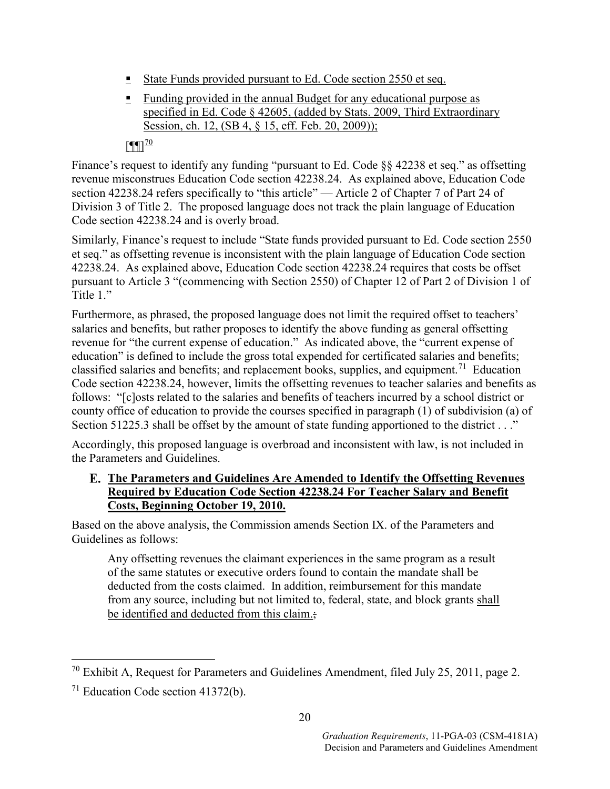- State Funds provided pursuant to Ed. Code section 2550 et seq.
- Funding provided in the annual Budget for any educational purpose as specified in Ed. Code § 42605, (added by Stats. 2009, Third Extraordinary Session, ch. 12, (SB 4, § 15, eff. Feb. 20, 2009));

### $[$ ¶ $[$

Finance's request to identify any funding "pursuant to Ed. Code §§ 42238 et seq." as offsetting revenue misconstrues Education Code section 42238.24. As explained above, Education Code section 42238.24 refers specifically to "this article" — Article 2 of Chapter 7 of Part 24 of Division 3 of Title 2. The proposed language does not track the plain language of Education Code section 42238.24 and is overly broad.

Similarly, Finance's request to include "State funds provided pursuant to Ed. Code section 2550 et seq." as offsetting revenue is inconsistent with the plain language of Education Code section 42238.24. As explained above, Education Code section 42238.24 requires that costs be offset pursuant to Article 3 "(commencing with Section 2550) of Chapter 12 of Part 2 of Division 1 of Title 1."

Furthermore, as phrased, the proposed language does not limit the required offset to teachers' salaries and benefits, but rather proposes to identify the above funding as general offsetting revenue for "the current expense of education." As indicated above, the "current expense of education" is defined to include the gross total expended for certificated salaries and benefits; classified salaries and benefits; and replacement books, supplies, and equipment.<sup>[71](#page-21-1)</sup> Education Code section 42238.24, however, limits the offsetting revenues to teacher salaries and benefits as follows: "[c]osts related to the salaries and benefits of teachers incurred by a school district or county office of education to provide the courses specified in paragraph (1) of subdivision (a) of Section 51225.3 shall be offset by the amount of state funding apportioned to the district . . ."

Accordingly, this proposed language is overbroad and inconsistent with law, is not included in the Parameters and Guidelines.

### **The Parameters and Guidelines Are Amended to Identify the Offsetting Revenues Required by Education Code Section 42238.24 For Teacher Salary and Benefit Costs, Beginning October 19, 2010.**

Based on the above analysis, the Commission amends Section IX. of the Parameters and Guidelines as follows:

Any offsetting revenues the claimant experiences in the same program as a result of the same statutes or executive orders found to contain the mandate shall be deducted from the costs claimed. In addition, reimbursement for this mandate from any source, including but not limited to, federal, state, and block grants shall be identified and deducted from this claim.;

<span id="page-21-0"></span><sup>&</sup>lt;sup>70</sup> Exhibit A, Request for Parameters and Guidelines Amendment, filed July 25, 2011, page 2.

<span id="page-21-1"></span><sup>71</sup> Education Code section 41372(b).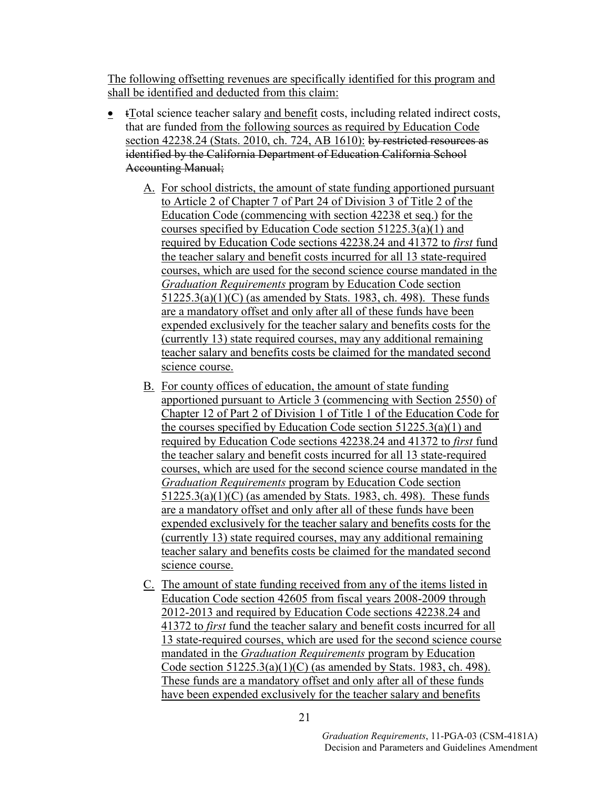The following offsetting revenues are specifically identified for this program and shall be identified and deducted from this claim:

- tTotal science teacher salary and benefit costs, including related indirect costs, that are funded from the following sources as required by Education Code section 42238.24 (Stats. 2010, ch. 724, AB 1610): by restricted resources as identified by the California Department of Education California School Accounting Manual;
	- A. For school districts, the amount of state funding apportioned pursuant to Article 2 of Chapter 7 of Part 24 of Division 3 of Title 2 of the Education Code (commencing with section 42238 et seq.) for the courses specified by Education Code section 51225.3(a)(1) and required by Education Code sections 42238.24 and 41372 to *first* fund the teacher salary and benefit costs incurred for all 13 state-required courses, which are used for the second science course mandated in the *Graduation Requirements* program by Education Code section 51225.3(a)(1)(C) (as amended by Stats. 1983, ch. 498). These funds are a mandatory offset and only after all of these funds have been expended exclusively for the teacher salary and benefits costs for the (currently 13) state required courses, may any additional remaining teacher salary and benefits costs be claimed for the mandated second science course.
	- B. For county offices of education, the amount of state funding apportioned pursuant to Article 3 (commencing with Section 2550) of Chapter 12 of Part 2 of Division 1 of Title 1 of the Education Code for the courses specified by Education Code section  $51225.3(a)(1)$  and required by Education Code sections 42238.24 and 41372 to *first* fund the teacher salary and benefit costs incurred for all 13 state-required courses, which are used for the second science course mandated in the *Graduation Requirements* program by Education Code section 51225.3(a)(1)(C) (as amended by Stats. 1983, ch. 498). These funds are a mandatory offset and only after all of these funds have been expended exclusively for the teacher salary and benefits costs for the (currently 13) state required courses, may any additional remaining teacher salary and benefits costs be claimed for the mandated second science course.
	- C. The amount of state funding received from any of the items listed in Education Code section 42605 from fiscal years 2008-2009 through 2012-2013 and required by Education Code sections 42238.24 and 41372 to *first* fund the teacher salary and benefit costs incurred for all 13 state-required courses, which are used for the second science course mandated in the *Graduation Requirements* program by Education Code section  $51225.3(a)(1)(C)$  (as amended by Stats. 1983, ch. 498). These funds are a mandatory offset and only after all of these funds have been expended exclusively for the teacher salary and benefits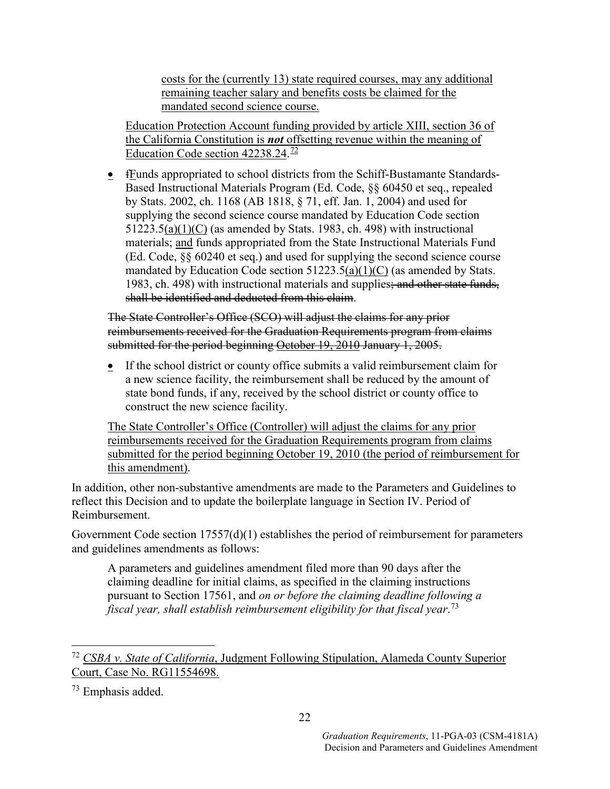costs for the (currently 13) state required courses, may any additional remaining teacher salary and benefits costs be claimed for the mandated second science course.

Education Protection Account funding provided by article XIII, section 36 of the California Constitution is *not* offsetting revenue within the meaning of Education Code section 42238.24.<sup>[72](#page-23-0)</sup>

**•** fEunds appropriated to school districts from the Schiff-Bustamante Standards-Based Instructional Materials Program (Ed. Code, §§ 60450 et seq., repealed by Stats. 2002, ch. 1168 (AB 1818, § 71, eff. Jan. 1, 2004) and used for supplying the second science course mandated by Education Code section  $51223.5(a)(1)(C)$  (as amended by Stats. 1983, ch. 498) with instructional materials; and funds appropriated from the State Instructional Materials Fund (Ed. Code, §§ 60240 et seq.) and used for supplying the second science course mandated by Education Code section 51223.5(a)(1)(C) (as amended by Stats. 1983, ch. 498) with instructional materials and supplies; and other state funds, shall be identified and deducted from this claim.

The State Controller's Office (SCO) will adjust the claims for any prior reimbursements received for the Graduation Requirements program from claims submitted for the period beginning October 19, 2010 January 1, 2005.

• If the school district or county office submits a valid reimbursement claim for a new science facility, the reimbursement shall be reduced by the amount of state bond funds, if any, received by the school district or county office to construct the new science facility.

The State Controller's Office (Controller) will adjust the claims for any prior reimbursements received for the Graduation Requirements program from claims submitted for the period beginning October 19, 2010 (the period of reimbursement for this amendment).

In addition, other non-substantive amendments are made to the Parameters and Guidelines to reflect this Decision and to update the boilerplate language in Section IV. Period of Reimbursement.

Government Code section 17557(d)(1) establishes the period of reimbursement for parameters and guidelines amendments as follows:

A parameters and guidelines amendment filed more than 90 days after the claiming deadline for initial claims, as specified in the claiming instructions pursuant to Section 17561, and *on or before the claiming deadline following a fiscal year, shall establish reimbursement eligibility for that fiscal year*. [73](#page-23-1)

<span id="page-23-0"></span> <sup>72</sup> *CSBA v. State of California*, Judgment Following Stipulation, Alameda County Superior Court, Case No. RG11554698.

<span id="page-23-1"></span><sup>73</sup> Emphasis added.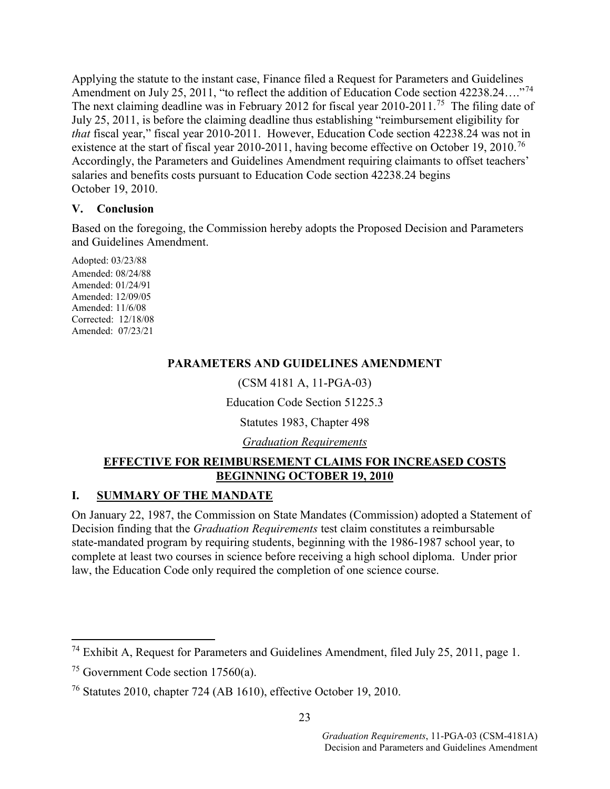Applying the statute to the instant case, Finance filed a Request for Parameters and Guidelines Amendment on July 25, 2011, "to reflect the addition of Education Code section 42238.24…."[74](#page-24-0)  The next claiming deadline was in February 2012 for fiscal year 2010-2011.<sup>75</sup> The filing date of July 25, 2011, is before the claiming deadline thus establishing "reimbursement eligibility for *that* fiscal year," fiscal year 2010-2011. However, Education Code section 42238.24 was not in existence at the start of fiscal year 2010-2011, having become effective on October 19, 2010.<sup>76</sup> Accordingly, the Parameters and Guidelines Amendment requiring claimants to offset teachers' salaries and benefits costs pursuant to Education Code section 42238.24 begins October 19, 2010.

### **V. Conclusion**

Based on the foregoing, the Commission hereby adopts the Proposed Decision and Parameters and Guidelines Amendment.

Adopted: 03/23/88 Amended: 08/24/88 Amended: 01/24/91 Amended: 12/09/05 Amended: 11/6/08 Corrected: 12/18/08 Amended: 07/23/21

### **PARAMETERS AND GUIDELINES AMENDMENT**

(CSM 4181 A, 11-PGA-03)

Education Code Section 51225.3

Statutes 1983, Chapter 498

*Graduation Requirements* 

### **EFFECTIVE FOR REIMBURSEMENT CLAIMS FOR INCREASED COSTS BEGINNING OCTOBER 19, 2010**

### **I. SUMMARY OF THE MANDATE**

On January 22, 1987, the Commission on State Mandates (Commission) adopted a Statement of Decision finding that the *Graduation Requirements* test claim constitutes a reimbursable state-mandated program by requiring students, beginning with the 1986-1987 school year, to complete at least two courses in science before receiving a high school diploma. Under prior law, the Education Code only required the completion of one science course.

<span id="page-24-0"></span> <sup>74</sup> Exhibit A, Request for Parameters and Guidelines Amendment, filed July 25, 2011, page 1.

<span id="page-24-1"></span><sup>&</sup>lt;sup>75</sup> Government Code section  $17560(a)$ .

<span id="page-24-2"></span><sup>76</sup> Statutes 2010, chapter 724 (AB 1610), effective October 19, 2010.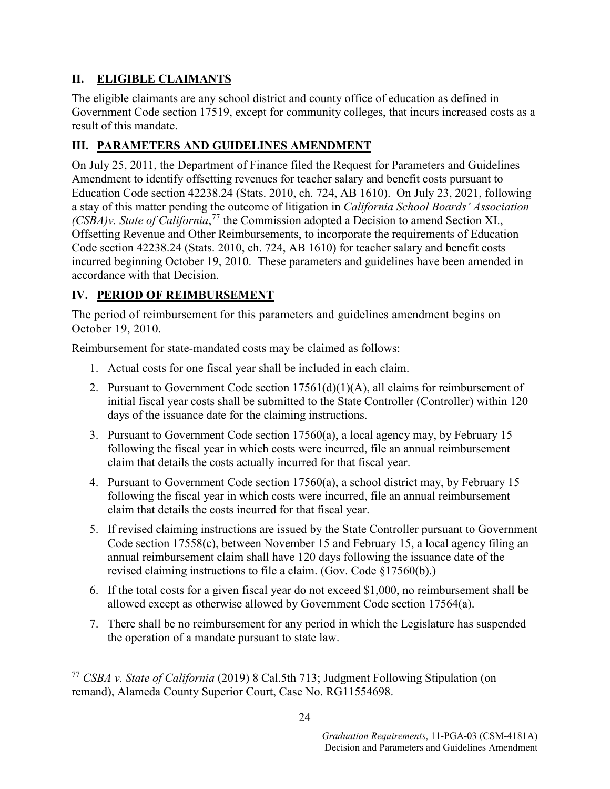## **II. ELIGIBLE CLAIMANTS**

The eligible claimants are any school district and county office of education as defined in Government Code section 17519, except for community colleges, that incurs increased costs as a result of this mandate.

## **III. PARAMETERS AND GUIDELINES AMENDMENT**

On July 25, 2011, the Department of Finance filed the Request for Parameters and Guidelines Amendment to identify offsetting revenues for teacher salary and benefit costs pursuant to Education Code section 42238.24 (Stats. 2010, ch. 724, AB 1610). On July 23, 2021, following a stay of this matter pending the outcome of litigation in *California School Boards' Association (CSBA)v. State of California*, [77](#page-25-0) the Commission adopted a Decision to amend Section XI., Offsetting Revenue and Other Reimbursements, to incorporate the requirements of Education Code section 42238.24 (Stats. 2010, ch. 724, AB 1610) for teacher salary and benefit costs incurred beginning October 19, 2010. These parameters and guidelines have been amended in accordance with that Decision.

## **IV. PERIOD OF REIMBURSEMENT**

The period of reimbursement for this parameters and guidelines amendment begins on October 19, 2010.

Reimbursement for state-mandated costs may be claimed as follows:

- 1. Actual costs for one fiscal year shall be included in each claim.
- 2. Pursuant to Government Code section  $17561(d)(1)(A)$ , all claims for reimbursement of initial fiscal year costs shall be submitted to the State Controller (Controller) within 120 days of the issuance date for the claiming instructions.
- 3. Pursuant to Government Code section 17560(a), a local agency may, by February 15 following the fiscal year in which costs were incurred, file an annual reimbursement claim that details the costs actually incurred for that fiscal year.
- 4. Pursuant to Government Code section 17560(a), a school district may, by February 15 following the fiscal year in which costs were incurred, file an annual reimbursement claim that details the costs incurred for that fiscal year.
- 5. If revised claiming instructions are issued by the State Controller pursuant to Government Code section 17558(c), between November 15 and February 15, a local agency filing an annual reimbursement claim shall have 120 days following the issuance date of the revised claiming instructions to file a claim. (Gov. Code §17560(b).)
- 6. If the total costs for a given fiscal year do not exceed \$1,000, no reimbursement shall be allowed except as otherwise allowed by Government Code section 17564(a).
- 7. There shall be no reimbursement for any period in which the Legislature has suspended the operation of a mandate pursuant to state law.

<span id="page-25-0"></span> <sup>77</sup> *CSBA v. State of California* (2019) 8 Cal.5th 713; Judgment Following Stipulation (on remand), Alameda County Superior Court, Case No. RG11554698.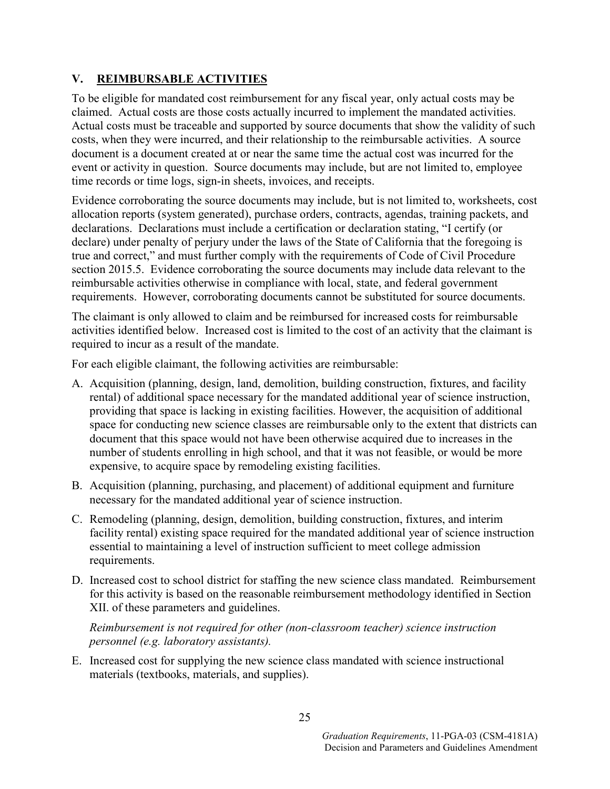### **V. REIMBURSABLE ACTIVITIES**

To be eligible for mandated cost reimbursement for any fiscal year, only actual costs may be claimed. Actual costs are those costs actually incurred to implement the mandated activities. Actual costs must be traceable and supported by source documents that show the validity of such costs, when they were incurred, and their relationship to the reimbursable activities. A source document is a document created at or near the same time the actual cost was incurred for the event or activity in question. Source documents may include, but are not limited to, employee time records or time logs, sign-in sheets, invoices, and receipts.

Evidence corroborating the source documents may include, but is not limited to, worksheets, cost allocation reports (system generated), purchase orders, contracts, agendas, training packets, and declarations. Declarations must include a certification or declaration stating, "I certify (or declare) under penalty of perjury under the laws of the State of California that the foregoing is true and correct," and must further comply with the requirements of Code of Civil Procedure section 2015.5. Evidence corroborating the source documents may include data relevant to the reimbursable activities otherwise in compliance with local, state, and federal government requirements. However, corroborating documents cannot be substituted for source documents.

The claimant is only allowed to claim and be reimbursed for increased costs for reimbursable activities identified below. Increased cost is limited to the cost of an activity that the claimant is required to incur as a result of the mandate.

For each eligible claimant, the following activities are reimbursable:

- A. Acquisition (planning, design, land, demolition, building construction, fixtures, and facility rental) of additional space necessary for the mandated additional year of science instruction, providing that space is lacking in existing facilities. However, the acquisition of additional space for conducting new science classes are reimbursable only to the extent that districts can document that this space would not have been otherwise acquired due to increases in the number of students enrolling in high school, and that it was not feasible, or would be more expensive, to acquire space by remodeling existing facilities.
- B. Acquisition (planning, purchasing, and placement) of additional equipment and furniture necessary for the mandated additional year of science instruction.
- C. Remodeling (planning, design, demolition, building construction, fixtures, and interim facility rental) existing space required for the mandated additional year of science instruction essential to maintaining a level of instruction sufficient to meet college admission requirements.
- D. Increased cost to school district for staffing the new science class mandated. Reimbursement for this activity is based on the reasonable reimbursement methodology identified in Section XII. of these parameters and guidelines.

*Reimbursement is not required for other (non-classroom teacher) science instruction personnel (e.g. laboratory assistants).*

E. Increased cost for supplying the new science class mandated with science instructional materials (textbooks, materials, and supplies).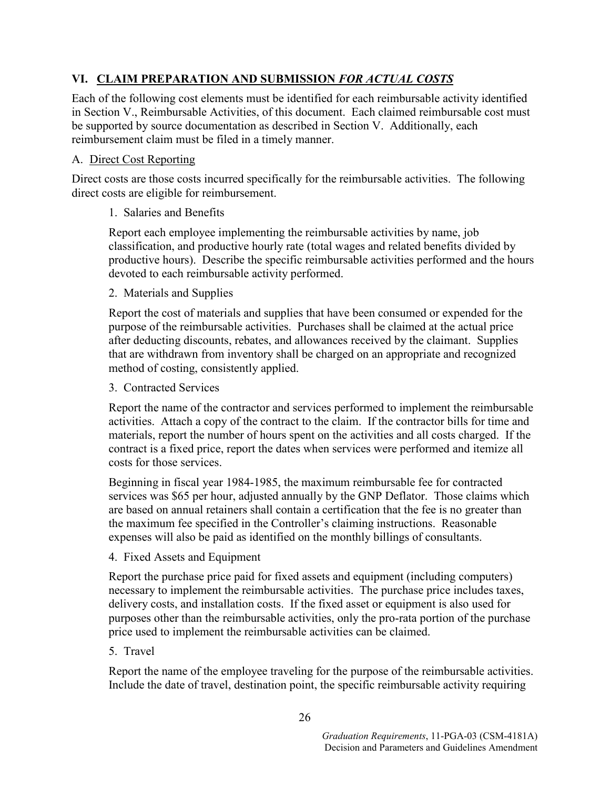## **VI. CLAIM PREPARATION AND SUBMISSION** *FOR ACTUAL COSTS*

Each of the following cost elements must be identified for each reimbursable activity identified in Section V., Reimbursable Activities, of this document. Each claimed reimbursable cost must be supported by source documentation as described in Section V. Additionally, each reimbursement claim must be filed in a timely manner.

### A. Direct Cost Reporting

Direct costs are those costs incurred specifically for the reimbursable activities. The following direct costs are eligible for reimbursement.

### 1. Salaries and Benefits

Report each employee implementing the reimbursable activities by name, job classification, and productive hourly rate (total wages and related benefits divided by productive hours). Describe the specific reimbursable activities performed and the hours devoted to each reimbursable activity performed.

### 2. Materials and Supplies

Report the cost of materials and supplies that have been consumed or expended for the purpose of the reimbursable activities. Purchases shall be claimed at the actual price after deducting discounts, rebates, and allowances received by the claimant. Supplies that are withdrawn from inventory shall be charged on an appropriate and recognized method of costing, consistently applied.

### 3. Contracted Services

Report the name of the contractor and services performed to implement the reimbursable activities. Attach a copy of the contract to the claim. If the contractor bills for time and materials, report the number of hours spent on the activities and all costs charged. If the contract is a fixed price, report the dates when services were performed and itemize all costs for those services.

Beginning in fiscal year 1984-1985, the maximum reimbursable fee for contracted services was \$65 per hour, adjusted annually by the GNP Deflator. Those claims which are based on annual retainers shall contain a certification that the fee is no greater than the maximum fee specified in the Controller's claiming instructions. Reasonable expenses will also be paid as identified on the monthly billings of consultants.

4. Fixed Assets and Equipment

Report the purchase price paid for fixed assets and equipment (including computers) necessary to implement the reimbursable activities. The purchase price includes taxes, delivery costs, and installation costs. If the fixed asset or equipment is also used for purposes other than the reimbursable activities, only the pro-rata portion of the purchase price used to implement the reimbursable activities can be claimed.

### 5. Travel

Report the name of the employee traveling for the purpose of the reimbursable activities. Include the date of travel, destination point, the specific reimbursable activity requiring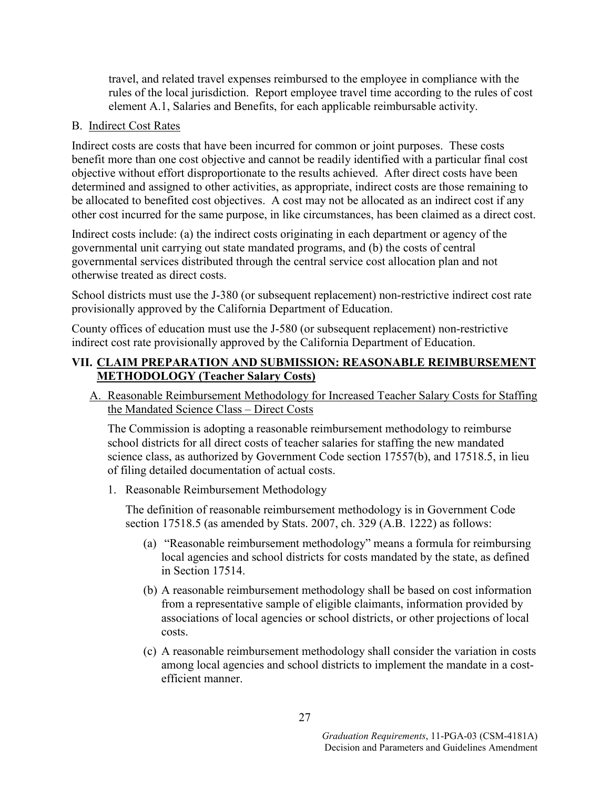travel, and related travel expenses reimbursed to the employee in compliance with the rules of the local jurisdiction. Report employee travel time according to the rules of cost element A.1, Salaries and Benefits, for each applicable reimbursable activity.

### B. Indirect Cost Rates

Indirect costs are costs that have been incurred for common or joint purposes. These costs benefit more than one cost objective and cannot be readily identified with a particular final cost objective without effort disproportionate to the results achieved. After direct costs have been determined and assigned to other activities, as appropriate, indirect costs are those remaining to be allocated to benefited cost objectives. A cost may not be allocated as an indirect cost if any other cost incurred for the same purpose, in like circumstances, has been claimed as a direct cost.

Indirect costs include: (a) the indirect costs originating in each department or agency of the governmental unit carrying out state mandated programs, and (b) the costs of central governmental services distributed through the central service cost allocation plan and not otherwise treated as direct costs.

School districts must use the J-380 (or subsequent replacement) non-restrictive indirect cost rate provisionally approved by the California Department of Education.

County offices of education must use the J-580 (or subsequent replacement) non-restrictive indirect cost rate provisionally approved by the California Department of Education.

### **VII. CLAIM PREPARATION AND SUBMISSION: REASONABLE REIMBURSEMENT METHODOLOGY (Teacher Salary Costs)**

A. Reasonable Reimbursement Methodology for Increased Teacher Salary Costs for Staffing the Mandated Science Class – Direct Costs

The Commission is adopting a reasonable reimbursement methodology to reimburse school districts for all direct costs of teacher salaries for staffing the new mandated science class, as authorized by Government Code section 17557(b), and 17518.5, in lieu of filing detailed documentation of actual costs.

1. Reasonable Reimbursement Methodology

The definition of reasonable reimbursement methodology is in Government Code section 17518.5 (as amended by Stats. 2007, ch. 329 (A.B. 1222) as follows:

- (a) "Reasonable reimbursement methodology" means a formula for reimbursing local agencies and school districts for costs mandated by the state, as defined in Section 17514.
- (b) A reasonable reimbursement methodology shall be based on cost information from a representative sample of eligible claimants, information provided by associations of local agencies or school districts, or other projections of local costs.
- (c) A reasonable reimbursement methodology shall consider the variation in costs among local agencies and school districts to implement the mandate in a costefficient manner.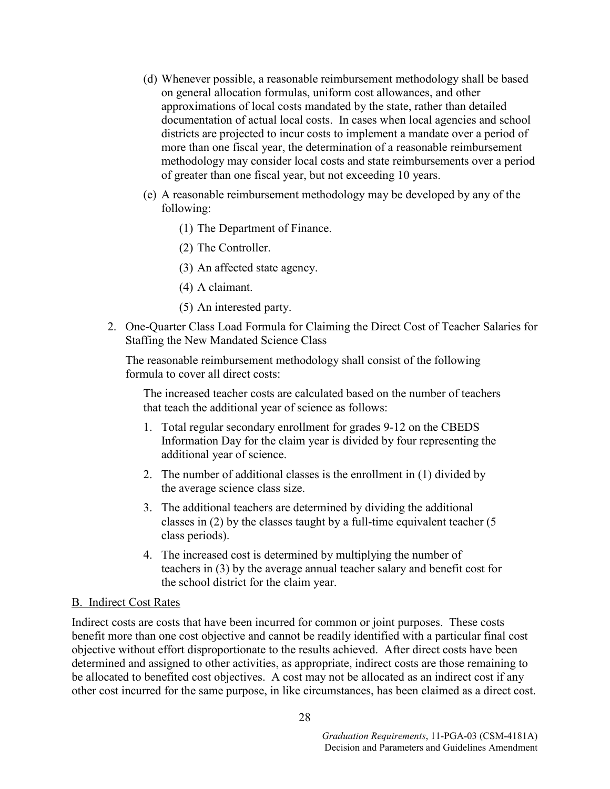- (d) Whenever possible, a reasonable reimbursement methodology shall be based on general allocation formulas, uniform cost allowances, and other approximations of local costs mandated by the state, rather than detailed documentation of actual local costs. In cases when local agencies and school districts are projected to incur costs to implement a mandate over a period of more than one fiscal year, the determination of a reasonable reimbursement methodology may consider local costs and state reimbursements over a period of greater than one fiscal year, but not exceeding 10 years.
- (e) A reasonable reimbursement methodology may be developed by any of the following:
	- (1) The Department of Finance.
	- (2) The Controller.
	- (3) An affected state agency.
	- (4) A claimant.
	- (5) An interested party.
- 2. One-Quarter Class Load Formula for Claiming the Direct Cost of Teacher Salaries for Staffing the New Mandated Science Class

The reasonable reimbursement methodology shall consist of the following formula to cover all direct costs:

The increased teacher costs are calculated based on the number of teachers that teach the additional year of science as follows:

- 1. Total regular secondary enrollment for grades 9-12 on the CBEDS Information Day for the claim year is divided by four representing the additional year of science.
- 2. The number of additional classes is the enrollment in (1) divided by the average science class size.
- 3. The additional teachers are determined by dividing the additional classes in (2) by the classes taught by a full-time equivalent teacher (5 class periods).
- 4. The increased cost is determined by multiplying the number of teachers in (3) by the average annual teacher salary and benefit cost for the school district for the claim year.

#### B. Indirect Cost Rates

Indirect costs are costs that have been incurred for common or joint purposes. These costs benefit more than one cost objective and cannot be readily identified with a particular final cost objective without effort disproportionate to the results achieved. After direct costs have been determined and assigned to other activities, as appropriate, indirect costs are those remaining to be allocated to benefited cost objectives. A cost may not be allocated as an indirect cost if any other cost incurred for the same purpose, in like circumstances, has been claimed as a direct cost.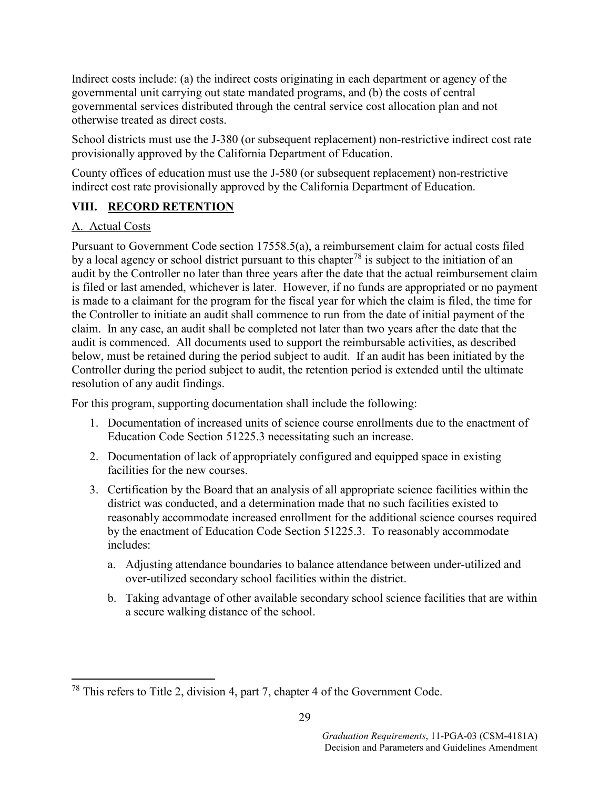Indirect costs include: (a) the indirect costs originating in each department or agency of the governmental unit carrying out state mandated programs, and (b) the costs of central governmental services distributed through the central service cost allocation plan and not otherwise treated as direct costs.

School districts must use the J-380 (or subsequent replacement) non-restrictive indirect cost rate provisionally approved by the California Department of Education.

County offices of education must use the J-580 (or subsequent replacement) non-restrictive indirect cost rate provisionally approved by the California Department of Education.

## **VIII. RECORD RETENTION**

### A. Actual Costs

Pursuant to Government Code section 17558.5(a), a reimbursement claim for actual costs filed by a local agency or school district pursuant to this chapter<sup>[78](#page-30-0)</sup> is subject to the initiation of an audit by the Controller no later than three years after the date that the actual reimbursement claim is filed or last amended, whichever is later. However, if no funds are appropriated or no payment is made to a claimant for the program for the fiscal year for which the claim is filed, the time for the Controller to initiate an audit shall commence to run from the date of initial payment of the claim. In any case, an audit shall be completed not later than two years after the date that the audit is commenced. All documents used to support the reimbursable activities, as described below, must be retained during the period subject to audit. If an audit has been initiated by the Controller during the period subject to audit, the retention period is extended until the ultimate resolution of any audit findings.

For this program, supporting documentation shall include the following:

- 1. Documentation of increased units of science course enrollments due to the enactment of Education Code Section 51225.3 necessitating such an increase.
- 2. Documentation of lack of appropriately configured and equipped space in existing facilities for the new courses.
- 3. Certification by the Board that an analysis of all appropriate science facilities within the district was conducted, and a determination made that no such facilities existed to reasonably accommodate increased enrollment for the additional science courses required by the enactment of Education Code Section 51225.3. To reasonably accommodate includes:
	- a. Adjusting attendance boundaries to balance attendance between under-utilized and over-utilized secondary school facilities within the district.
	- b. Taking advantage of other available secondary school science facilities that are within a secure walking distance of the school.

<span id="page-30-0"></span> <sup>78</sup> This refers to Title 2, division 4, part 7, chapter 4 of the Government Code.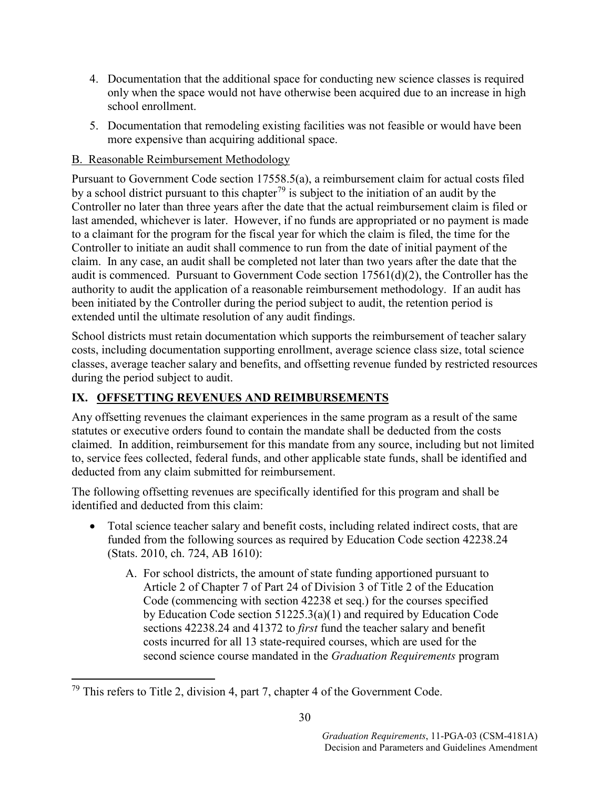- 4. Documentation that the additional space for conducting new science classes is required only when the space would not have otherwise been acquired due to an increase in high school enrollment.
- 5. Documentation that remodeling existing facilities was not feasible or would have been more expensive than acquiring additional space.

### B. Reasonable Reimbursement Methodology

Pursuant to Government Code section 17558.5(a), a reimbursement claim for actual costs filed by a school district pursuant to this chapter<sup>[79](#page-31-0)</sup> is subject to the initiation of an audit by the Controller no later than three years after the date that the actual reimbursement claim is filed or last amended, whichever is later. However, if no funds are appropriated or no payment is made to a claimant for the program for the fiscal year for which the claim is filed, the time for the Controller to initiate an audit shall commence to run from the date of initial payment of the claim. In any case, an audit shall be completed not later than two years after the date that the audit is commenced. Pursuant to Government Code section 17561(d)(2), the Controller has the authority to audit the application of a reasonable reimbursement methodology. If an audit has been initiated by the Controller during the period subject to audit, the retention period is extended until the ultimate resolution of any audit findings.

School districts must retain documentation which supports the reimbursement of teacher salary costs, including documentation supporting enrollment, average science class size, total science classes, average teacher salary and benefits, and offsetting revenue funded by restricted resources during the period subject to audit.

## **IX. OFFSETTING REVENUES AND REIMBURSEMENTS**

Any offsetting revenues the claimant experiences in the same program as a result of the same statutes or executive orders found to contain the mandate shall be deducted from the costs claimed. In addition, reimbursement for this mandate from any source, including but not limited to, service fees collected, federal funds, and other applicable state funds, shall be identified and deducted from any claim submitted for reimbursement.

The following offsetting revenues are specifically identified for this program and shall be identified and deducted from this claim:

- Total science teacher salary and benefit costs, including related indirect costs, that are funded from the following sources as required by Education Code section 42238.24 (Stats. 2010, ch. 724, AB 1610):
	- A. For school districts, the amount of state funding apportioned pursuant to Article 2 of Chapter 7 of Part 24 of Division 3 of Title 2 of the Education Code (commencing with section 42238 et seq.) for the courses specified by Education Code section 51225.3(a)(1) and required by Education Code sections 42238.24 and 41372 to *first* fund the teacher salary and benefit costs incurred for all 13 state-required courses, which are used for the second science course mandated in the *Graduation Requirements* program

<span id="page-31-0"></span> $79$  This refers to Title 2, division 4, part 7, chapter 4 of the Government Code.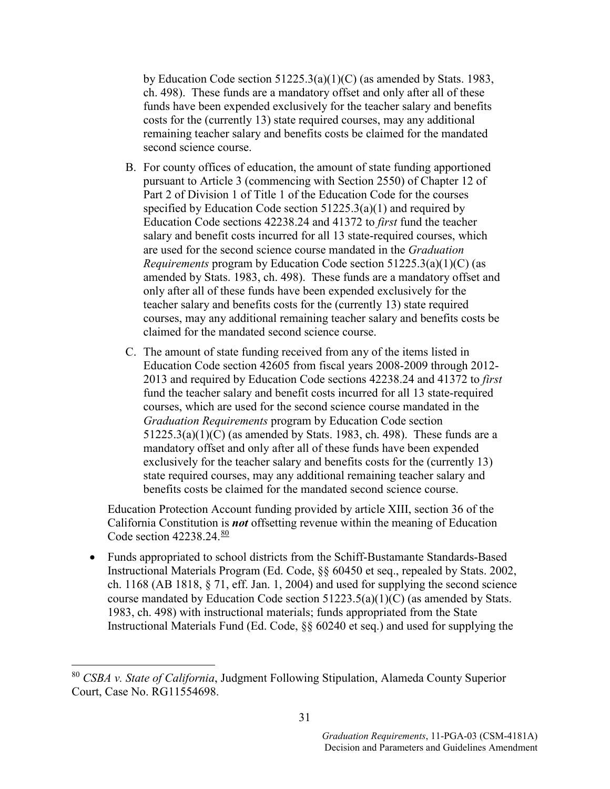by Education Code section 51225.3(a)(1)(C) (as amended by Stats. 1983, ch. 498). These funds are a mandatory offset and only after all of these funds have been expended exclusively for the teacher salary and benefits costs for the (currently 13) state required courses, may any additional remaining teacher salary and benefits costs be claimed for the mandated second science course.

- B. For county offices of education, the amount of state funding apportioned pursuant to Article 3 (commencing with Section 2550) of Chapter 12 of Part 2 of Division 1 of Title 1 of the Education Code for the courses specified by Education Code section 51225.3(a)(1) and required by Education Code sections 42238.24 and 41372 to *first* fund the teacher salary and benefit costs incurred for all 13 state-required courses, which are used for the second science course mandated in the *Graduation Requirements* program by Education Code section 51225.3(a)(1)(C) (as amended by Stats. 1983, ch. 498). These funds are a mandatory offset and only after all of these funds have been expended exclusively for the teacher salary and benefits costs for the (currently 13) state required courses, may any additional remaining teacher salary and benefits costs be claimed for the mandated second science course.
- C. The amount of state funding received from any of the items listed in Education Code section 42605 from fiscal years 2008-2009 through 2012- 2013 and required by Education Code sections 42238.24 and 41372 to *first* fund the teacher salary and benefit costs incurred for all 13 state-required courses, which are used for the second science course mandated in the *Graduation Requirements* program by Education Code section  $51225.3(a)(1)(C)$  (as amended by Stats. 1983, ch. 498). These funds are a mandatory offset and only after all of these funds have been expended exclusively for the teacher salary and benefits costs for the (currently 13) state required courses, may any additional remaining teacher salary and benefits costs be claimed for the mandated second science course.

Education Protection Account funding provided by article XIII, section 36 of the California Constitution is *not* offsetting revenue within the meaning of Education Code section 42238.24.[80](#page-32-0)

• Funds appropriated to school districts from the Schiff-Bustamante Standards-Based Instructional Materials Program (Ed. Code, §§ 60450 et seq., repealed by Stats. 2002, ch. 1168 (AB 1818,  $\S$  71, eff. Jan. 1, 2004) and used for supplying the second science course mandated by Education Code section 51223.5(a)(1)(C) (as amended by Stats. 1983, ch. 498) with instructional materials; funds appropriated from the State Instructional Materials Fund (Ed. Code, §§ 60240 et seq.) and used for supplying the

<span id="page-32-0"></span> <sup>80</sup> *CSBA v. State of California*, Judgment Following Stipulation, Alameda County Superior Court, Case No. RG11554698.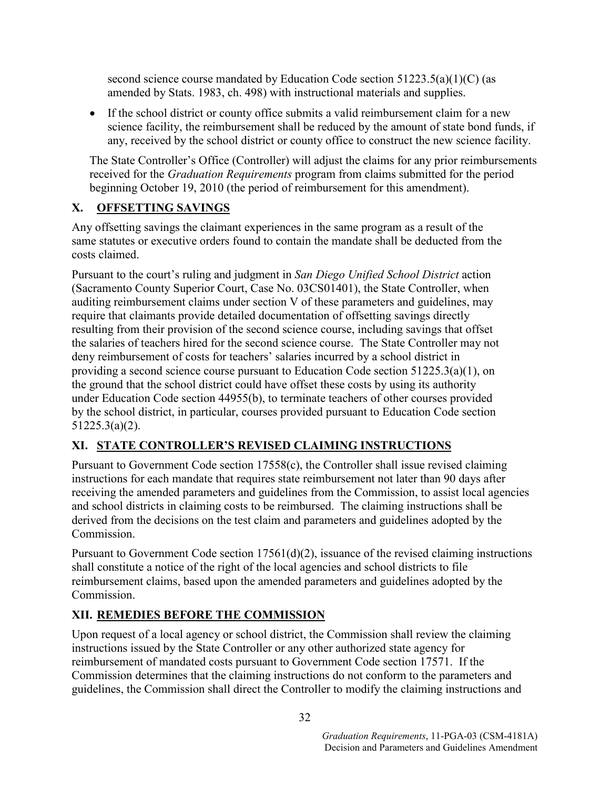second science course mandated by Education Code section  $51223.5(a)(1)(C)$  (as amended by Stats. 1983, ch. 498) with instructional materials and supplies.

• If the school district or county office submits a valid reimbursement claim for a new science facility, the reimbursement shall be reduced by the amount of state bond funds, if any, received by the school district or county office to construct the new science facility.

The State Controller's Office (Controller) will adjust the claims for any prior reimbursements received for the *Graduation Requirements* program from claims submitted for the period beginning October 19, 2010 (the period of reimbursement for this amendment).

## **X. OFFSETTING SAVINGS**

Any offsetting savings the claimant experiences in the same program as a result of the same statutes or executive orders found to contain the mandate shall be deducted from the costs claimed.

Pursuant to the court's ruling and judgment in *San Diego Unified School District* action (Sacramento County Superior Court, Case No. 03CS01401), the State Controller, when auditing reimbursement claims under section V of these parameters and guidelines, may require that claimants provide detailed documentation of offsetting savings directly resulting from their provision of the second science course, including savings that offset the salaries of teachers hired for the second science course. The State Controller may not deny reimbursement of costs for teachers' salaries incurred by a school district in providing a second science course pursuant to Education Code section 51225.3(a)(1), on the ground that the school district could have offset these costs by using its authority under Education Code section 44955(b), to terminate teachers of other courses provided by the school district, in particular, courses provided pursuant to Education Code section 51225.3(a)(2).

## **XI. STATE CONTROLLER'S REVISED CLAIMING INSTRUCTIONS**

Pursuant to Government Code section 17558(c), the Controller shall issue revised claiming instructions for each mandate that requires state reimbursement not later than 90 days after receiving the amended parameters and guidelines from the Commission, to assist local agencies and school districts in claiming costs to be reimbursed. The claiming instructions shall be derived from the decisions on the test claim and parameters and guidelines adopted by the Commission.

Pursuant to Government Code section 17561(d)(2), issuance of the revised claiming instructions shall constitute a notice of the right of the local agencies and school districts to file reimbursement claims, based upon the amended parameters and guidelines adopted by the Commission.

## **XII. REMEDIES BEFORE THE COMMISSION**

Upon request of a local agency or school district, the Commission shall review the claiming instructions issued by the State Controller or any other authorized state agency for reimbursement of mandated costs pursuant to Government Code section 17571. If the Commission determines that the claiming instructions do not conform to the parameters and guidelines, the Commission shall direct the Controller to modify the claiming instructions and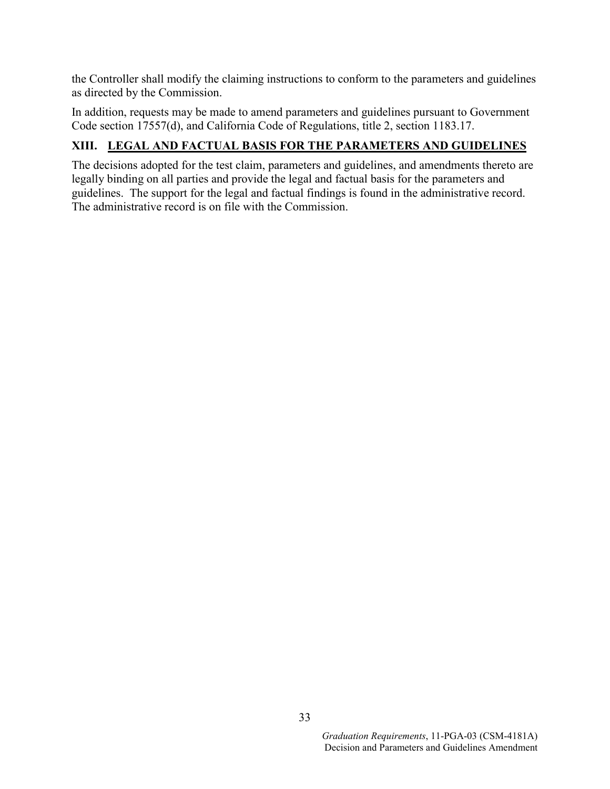the Controller shall modify the claiming instructions to conform to the parameters and guidelines as directed by the Commission.

In addition, requests may be made to amend parameters and guidelines pursuant to Government Code section 17557(d), and California Code of Regulations, title 2, section 1183.17.

### **XIII. LEGAL AND FACTUAL BASIS FOR THE PARAMETERS AND GUIDELINES**

The decisions adopted for the test claim, parameters and guidelines, and amendments thereto are legally binding on all parties and provide the legal and factual basis for the parameters and guidelines. The support for the legal and factual findings is found in the administrative record. The administrative record is on file with the Commission.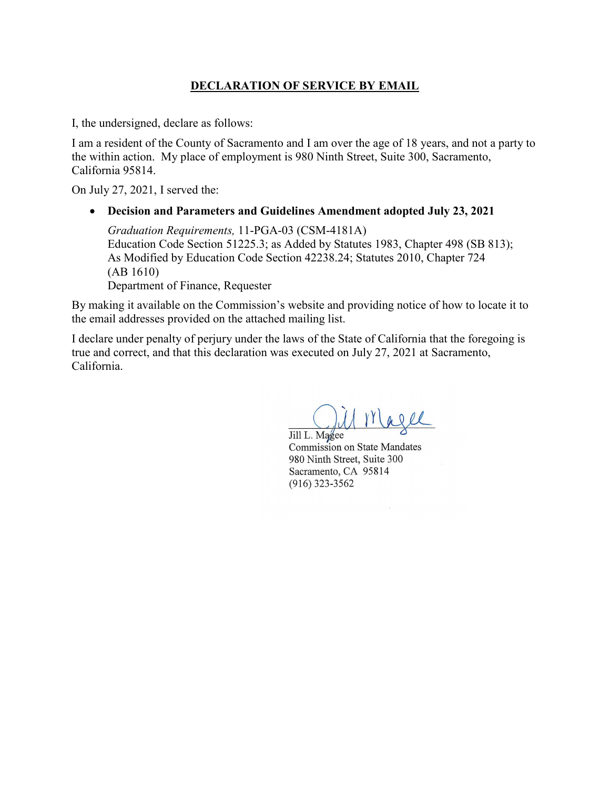### **DECLARATION OF SERVICE BY EMAIL**

I, the undersigned, declare as follows:

I am a resident of the County of Sacramento and I am over the age of 18 years, and not a party to the within action. My place of employment is 980 Ninth Street, Suite 300, Sacramento, California 95814.

On July 27, 2021, I served the:

• **Decision and Parameters and Guidelines Amendment adopted July 23, 2021**

*Graduation Requirements,* 11-PGA-03 (CSM-4181A) Education Code Section 51225.3; as Added by Statutes 1983, Chapter 498 (SB 813); As Modified by Education Code Section 42238.24; Statutes 2010, Chapter 724 (AB 1610) Department of Finance, Requester

By making it available on the Commission's website and providing notice of how to locate it to the email addresses provided on the attached mailing list.

I declare under penalty of perjury under the laws of the State of California that the foregoing is true and correct, and that this declaration was executed on July 27, 2021 at Sacramento, California.

 $11$   $11$  are

Jill L. Magee Commission on State Mandates 980 Ninth Street, Suite 300 Sacramento, CA 95814 (916) 323-3562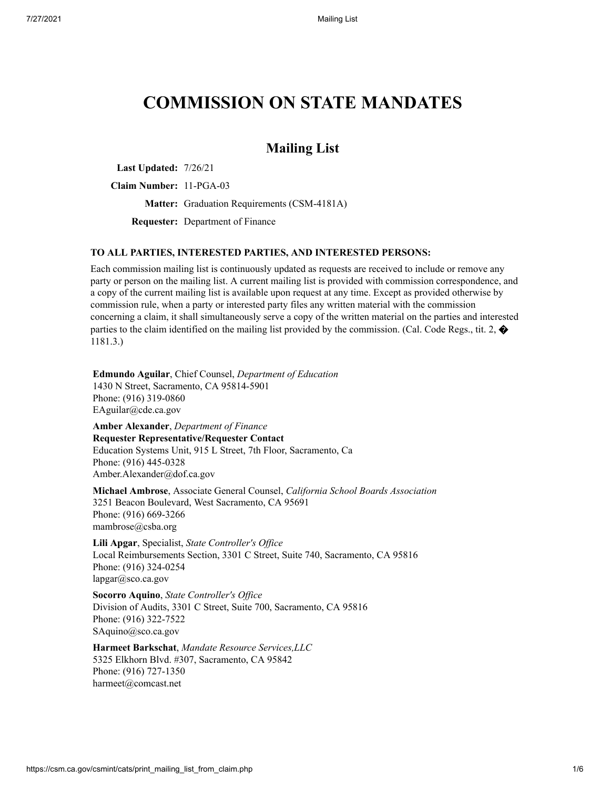# **COMMISSION ON STATE MANDATES**

### **Mailing List**

**Last Updated:** 7/26/21

**Claim Number:** 11-PGA-03

**Matter:** Graduation Requirements (CSM-4181A)

**Requester:** Department of Finance

#### **TO ALL PARTIES, INTERESTED PARTIES, AND INTERESTED PERSONS:**

Each commission mailing list is continuously updated as requests are received to include or remove any party or person on the mailing list. A current mailing list is provided with commission correspondence, and a copy of the current mailing list is available upon request at any time. Except as provided otherwise by commission rule, when a party or interested party files any written material with the commission concerning a claim, it shall simultaneously serve a copy of the written material on the parties and interested parties to the claim identified on the mailing list provided by the commission. (Cal. Code Regs., tit. 2,  $\bullet$ 1181.3.)

**Edmundo Aguilar**, Chief Counsel, *Department of Education* 1430 N Street, Sacramento, CA 95814-5901 Phone: (916) 319-0860 EAguilar@cde.ca.gov

**Amber Alexander**, *Department of Finance* **Requester Representative/Requester Contact** Education Systems Unit, 915 L Street, 7th Floor, Sacramento, Ca Phone: (916) 445-0328 Amber.Alexander@dof.ca.gov

**Michael Ambrose**, Associate General Counsel, *California School Boards Association* 3251 Beacon Boulevard, West Sacramento, CA 95691 Phone: (916) 669-3266 mambrose@csba.org

**Lili Apgar**, Specialist, *State Controller's Of ice* Local Reimbursements Section, 3301 C Street, Suite 740, Sacramento, CA 95816 Phone: (916) 324-0254 lapgar@sco.ca.gov

**Socorro Aquino**, *State Controller's Of ice* Division of Audits, 3301 C Street, Suite 700, Sacramento, CA 95816 Phone: (916) 322-7522 SAquino@sco.ca.gov

**Harmeet Barkschat**, *Mandate Resource Services,LLC* 5325 Elkhorn Blvd. #307, Sacramento, CA 95842 Phone: (916) 727-1350 harmeet@comcast.net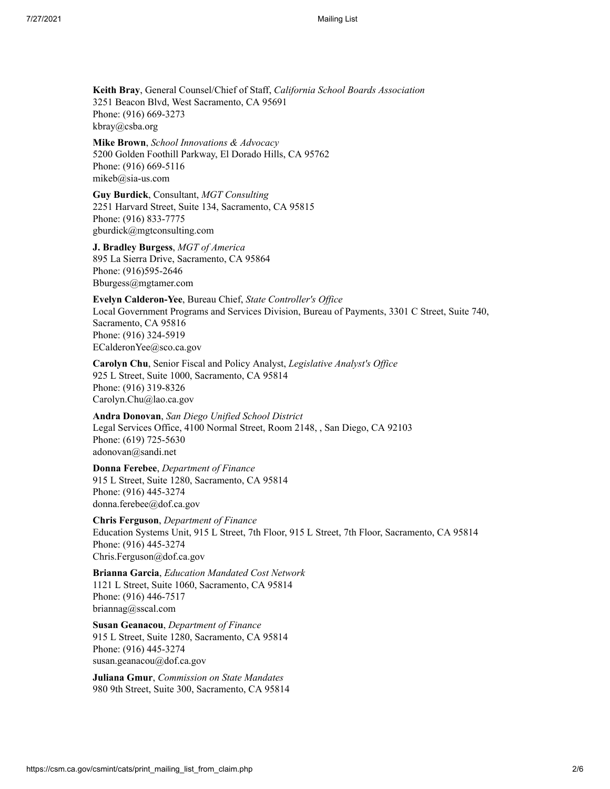**Keith Bray**, General Counsel/Chief of Staff, *California School Boards Association* 3251 Beacon Blvd, West Sacramento, CA 95691 Phone: (916) 669-3273 kbray@csba.org

**Mike Brown**, *School Innovations & Advocacy* 5200 Golden Foothill Parkway, El Dorado Hills, CA 95762 Phone: (916) 669-5116 mikeb@sia-us.com

**Guy Burdick**, Consultant, *MGT Consulting* 2251 Harvard Street, Suite 134, Sacramento, CA 95815 Phone: (916) 833-7775 gburdick@mgtconsulting.com

**J. Bradley Burgess**, *MGT of America* 895 La Sierra Drive, Sacramento, CA 95864 Phone: (916)595-2646 Bburgess@mgtamer.com

**Evelyn Calderon-Yee**, Bureau Chief, *State Controller's Of ice* Local Government Programs and Services Division, Bureau of Payments, 3301 C Street, Suite 740, Sacramento, CA 95816 Phone: (916) 324-5919 ECalderonYee@sco.ca.gov

**Carolyn Chu**, Senior Fiscal and Policy Analyst, *Legislative Analyst's Of ice* 925 L Street, Suite 1000, Sacramento, CA 95814 Phone: (916) 319-8326 Carolyn.Chu@lao.ca.gov

**Andra Donovan**, *San Diego Unified School District* Legal Services Office, 4100 Normal Street, Room 2148, , San Diego, CA 92103 Phone: (619) 725-5630 adonovan@sandi.net

**Donna Ferebee**, *Department of Finance* 915 L Street, Suite 1280, Sacramento, CA 95814 Phone: (916) 445-3274 donna.ferebee@dof.ca.gov

**Chris Ferguson**, *Department of Finance* Education Systems Unit, 915 L Street, 7th Floor, 915 L Street, 7th Floor, Sacramento, CA 95814 Phone: (916) 445-3274 Chris.Ferguson@dof.ca.gov

**Brianna Garcia**, *Education Mandated Cost Network* 1121 L Street, Suite 1060, Sacramento, CA 95814 Phone: (916) 446-7517 briannag@sscal.com

**Susan Geanacou**, *Department of Finance* 915 L Street, Suite 1280, Sacramento, CA 95814 Phone: (916) 445-3274 susan.geanacou@dof.ca.gov

**Juliana Gmur**, *Commission on State Mandates* 980 9th Street, Suite 300, Sacramento, CA 95814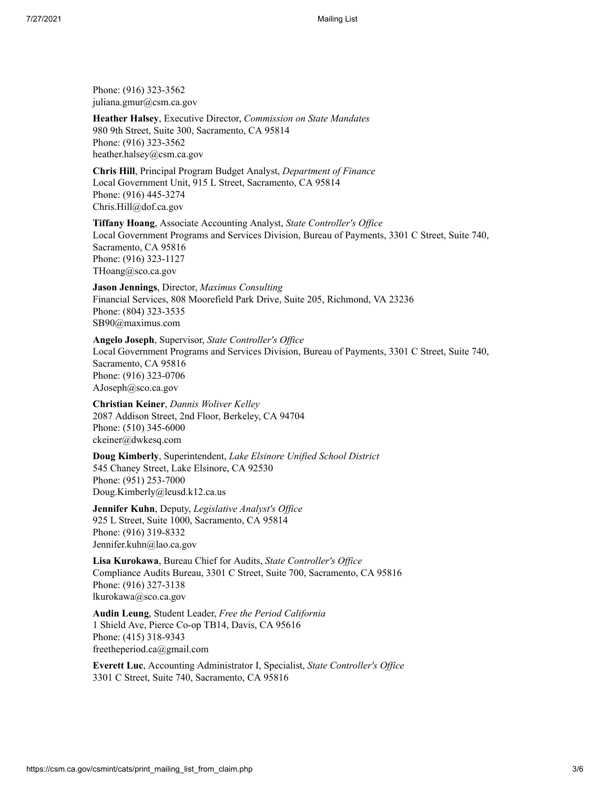Phone: (916) 323-3562 juliana.gmur@csm.ca.gov

**Heather Halsey**, Executive Director, *Commission on State Mandates* 980 9th Street, Suite 300, Sacramento, CA 95814 Phone: (916) 323-3562 heather.halsey@csm.ca.gov

**Chris Hill**, Principal Program Budget Analyst, *Department of Finance* Local Government Unit, 915 L Street, Sacramento, CA 95814 Phone: (916) 445-3274 Chris.Hill@dof.ca.gov

**Tiffany Hoang**, Associate Accounting Analyst, *State Controller's Office* Local Government Programs and Services Division, Bureau of Payments, 3301 C Street, Suite 740, Sacramento, CA 95816 Phone: (916) 323-1127 THoang@sco.ca.gov

**Jason Jennings**, Director, *Maximus Consulting* Financial Services, 808 Moorefield Park Drive, Suite 205, Richmond, VA 23236 Phone: (804) 323-3535 SB90@maximus.com

**Angelo Joseph**, Supervisor, *State Controller's Of ice* Local Government Programs and Services Division, Bureau of Payments, 3301 C Street, Suite 740, Sacramento, CA 95816 Phone: (916) 323-0706 AJoseph@sco.ca.gov

**Christian Keiner**, *Dannis Woliver Kelley* 2087 Addison Street, 2nd Floor, Berkeley, CA 94704 Phone: (510) 345-6000 ckeiner@dwkesq.com

**Doug Kimberly**, Superintendent, *Lake Elsinore Unified School District* 545 Chaney Street, Lake Elsinore, CA 92530 Phone: (951) 253-7000 Doug.Kimberly@leusd.k12.ca.us

**Jennifer Kuhn**, Deputy, *Legislative Analyst's Of ice* 925 L Street, Suite 1000, Sacramento, CA 95814 Phone: (916) 319-8332 Jennifer.kuhn@lao.ca.gov

**Lisa Kurokawa**, Bureau Chief for Audits, *State Controller's Of ice* Compliance Audits Bureau, 3301 C Street, Suite 700, Sacramento, CA 95816 Phone: (916) 327-3138 lkurokawa@sco.ca.gov

**Audin Leung**, Student Leader, *Free the Period California* 1 Shield Ave, Pierce Co-op TB14, Davis, CA 95616 Phone: (415) 318-9343 freetheperiod.ca@gmail.com

**Everett Luc**, Accounting Administrator I, Specialist, *State Controller's Of ice* 3301 C Street, Suite 740, Sacramento, CA 95816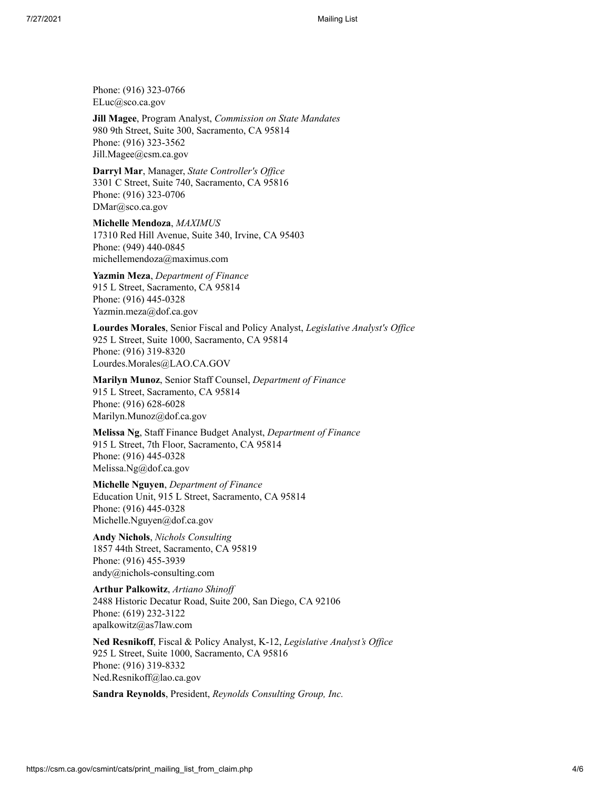Phone: (916) 323-0766 ELuc@sco.ca.gov

**Jill Magee**, Program Analyst, *Commission on State Mandates* 980 9th Street, Suite 300, Sacramento, CA 95814 Phone: (916) 323-3562 Jill.Magee@csm.ca.gov

**Darryl Mar**, Manager, *State Controller's Of ice* 3301 C Street, Suite 740, Sacramento, CA 95816 Phone: (916) 323-0706 DMar@sco.ca.gov

**Michelle Mendoza**, *MAXIMUS* 17310 Red Hill Avenue, Suite 340, Irvine, CA 95403 Phone: (949) 440-0845 michellemendoza@maximus.com

**Yazmin Meza**, *Department of Finance* 915 L Street, Sacramento, CA 95814 Phone: (916) 445-0328 Yazmin.meza@dof.ca.gov

Lourdes Morales, Senior Fiscal and Policy Analyst, *Legislative Analyst's Office* 925 L Street, Suite 1000, Sacramento, CA 95814 Phone: (916) 319-8320 Lourdes.Morales@LAO.CA.GOV

**Marilyn Munoz**, Senior Staff Counsel, *Department of Finance* 915 L Street, Sacramento, CA 95814 Phone: (916) 628-6028 Marilyn.Munoz@dof.ca.gov

**Melissa Ng**, Staff Finance Budget Analyst, *Department of Finance* 915 L Street, 7th Floor, Sacramento, CA 95814 Phone: (916) 445-0328 Melissa.Ng@dof.ca.gov

**Michelle Nguyen**, *Department of Finance* Education Unit, 915 L Street, Sacramento, CA 95814 Phone: (916) 445-0328 Michelle.Nguyen@dof.ca.gov

**Andy Nichols**, *Nichols Consulting* 1857 44th Street, Sacramento, CA 95819 Phone: (916) 455-3939 andy@nichols-consulting.com

**Arthur Palkowitz**, *Artiano Shinof* 2488 Historic Decatur Road, Suite 200, San Diego, CA 92106 Phone: (619) 232-3122 apalkowitz@as7law.com

**Ned Resnikoff**, Fiscal & Policy Analyst, K-12, *Legislative Analyst's Of ice* 925 L Street, Suite 1000, Sacramento, CA 95816 Phone: (916) 319-8332 Ned.Resnikoff@lao.ca.gov

**Sandra Reynolds**, President, *Reynolds Consulting Group, Inc.*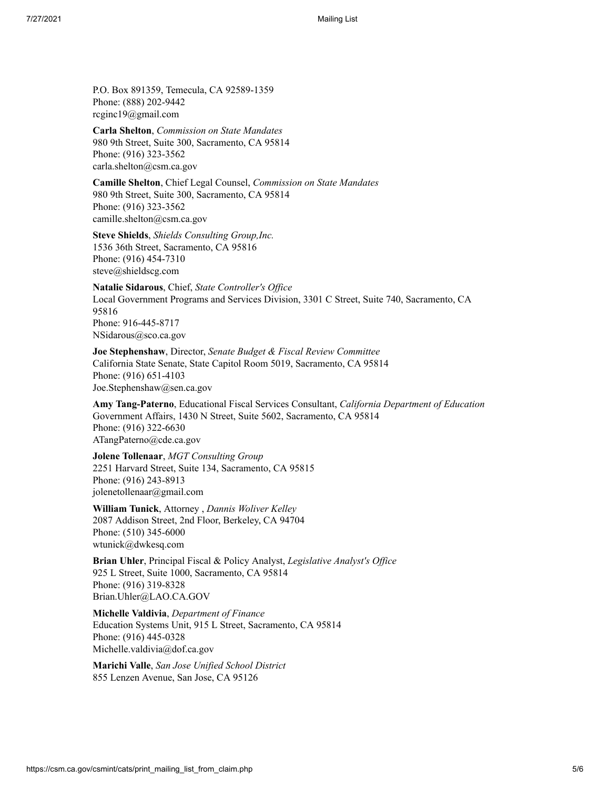P.O. Box 891359, Temecula, CA 92589-1359 Phone: (888) 202-9442 rcginc19@gmail.com

**Carla Shelton**, *Commission on State Mandates* 980 9th Street, Suite 300, Sacramento, CA 95814 Phone: (916) 323-3562 carla.shelton@csm.ca.gov

**Camille Shelton**, Chief Legal Counsel, *Commission on State Mandates* 980 9th Street, Suite 300, Sacramento, CA 95814 Phone: (916) 323-3562 camille.shelton@csm.ca.gov

**Steve Shields**, *Shields Consulting Group,Inc.* 1536 36th Street, Sacramento, CA 95816 Phone: (916) 454-7310 steve@shieldscg.com

**Natalie Sidarous**, Chief, *State Controller's Of ice* Local Government Programs and Services Division, 3301 C Street, Suite 740, Sacramento, CA 95816 Phone: 916-445-8717 NSidarous@sco.ca.gov

**Joe Stephenshaw**, Director, *Senate Budget & Fiscal Review Committee* California State Senate, State Capitol Room 5019, Sacramento, CA 95814 Phone: (916) 651-4103 Joe.Stephenshaw@sen.ca.gov

**Amy Tang-Paterno**, Educational Fiscal Services Consultant, *California Department of Education* Government Affairs, 1430 N Street, Suite 5602, Sacramento, CA 95814 Phone: (916) 322-6630 ATangPaterno@cde.ca.gov

**Jolene Tollenaar**, *MGT Consulting Group* 2251 Harvard Street, Suite 134, Sacramento, CA 95815 Phone: (916) 243-8913 jolenetollenaar@gmail.com

**William Tunick**, Attorney , *Dannis Woliver Kelley* 2087 Addison Street, 2nd Floor, Berkeley, CA 94704 Phone: (510) 345-6000 wtunick@dwkesq.com

**Brian Uhler**, Principal Fiscal & Policy Analyst, *Legislative Analyst's Of ice* 925 L Street, Suite 1000, Sacramento, CA 95814 Phone: (916) 319-8328 Brian.Uhler@LAO.CA.GOV

**Michelle Valdivia**, *Department of Finance* Education Systems Unit, 915 L Street, Sacramento, CA 95814 Phone: (916) 445-0328 Michelle.valdivia@dof.ca.gov

**Marichi Valle**, *San Jose Unified School District* 855 Lenzen Avenue, San Jose, CA 95126